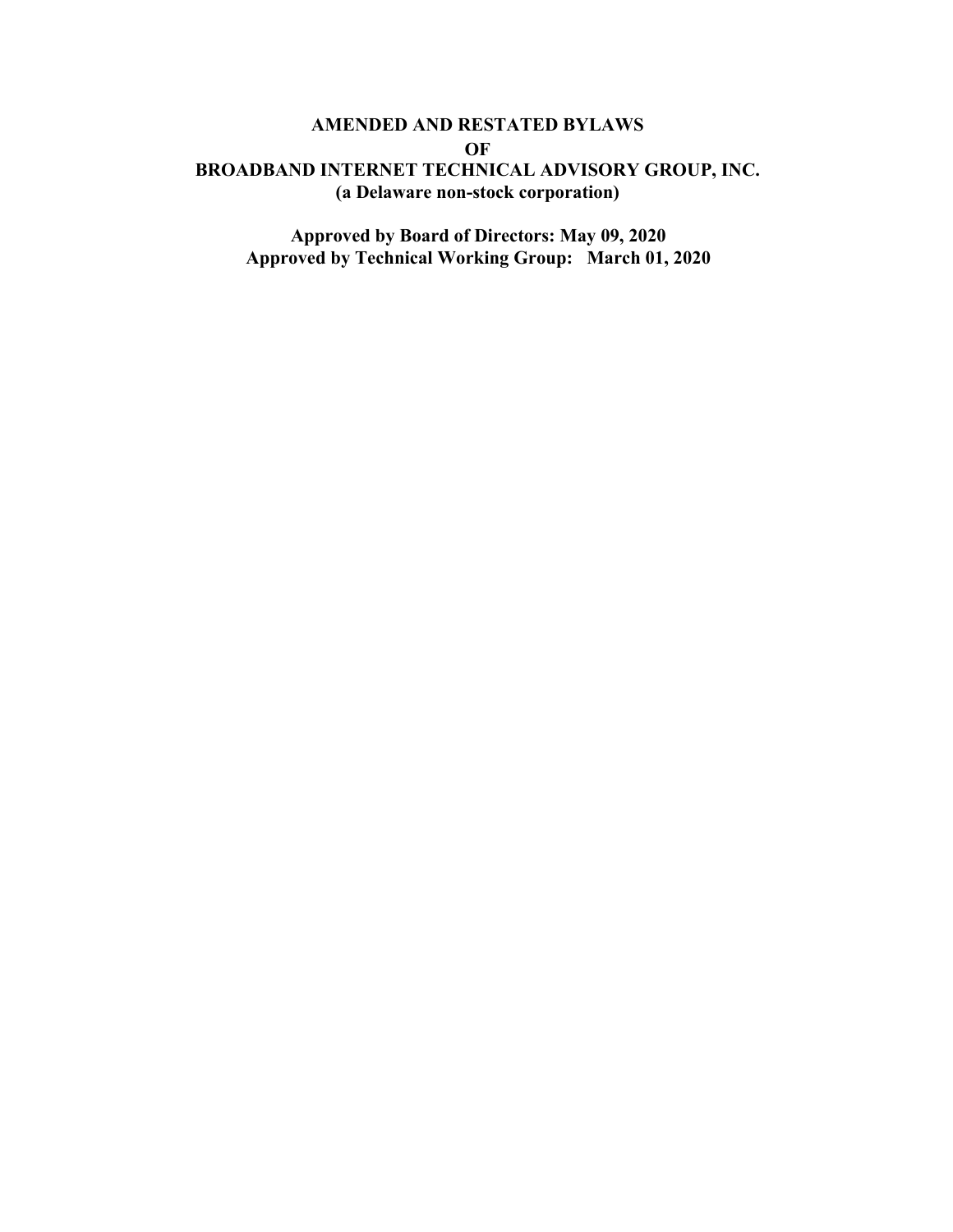## **AMENDED AND RESTATED BYLAWS OF BROADBAND INTERNET TECHNICAL ADVISORY GROUP, INC. (a Delaware non-stock corporation)**

**Approved by Board of Directors: May 09, 2020 Approved by Technical Working Group: March 01, 2020**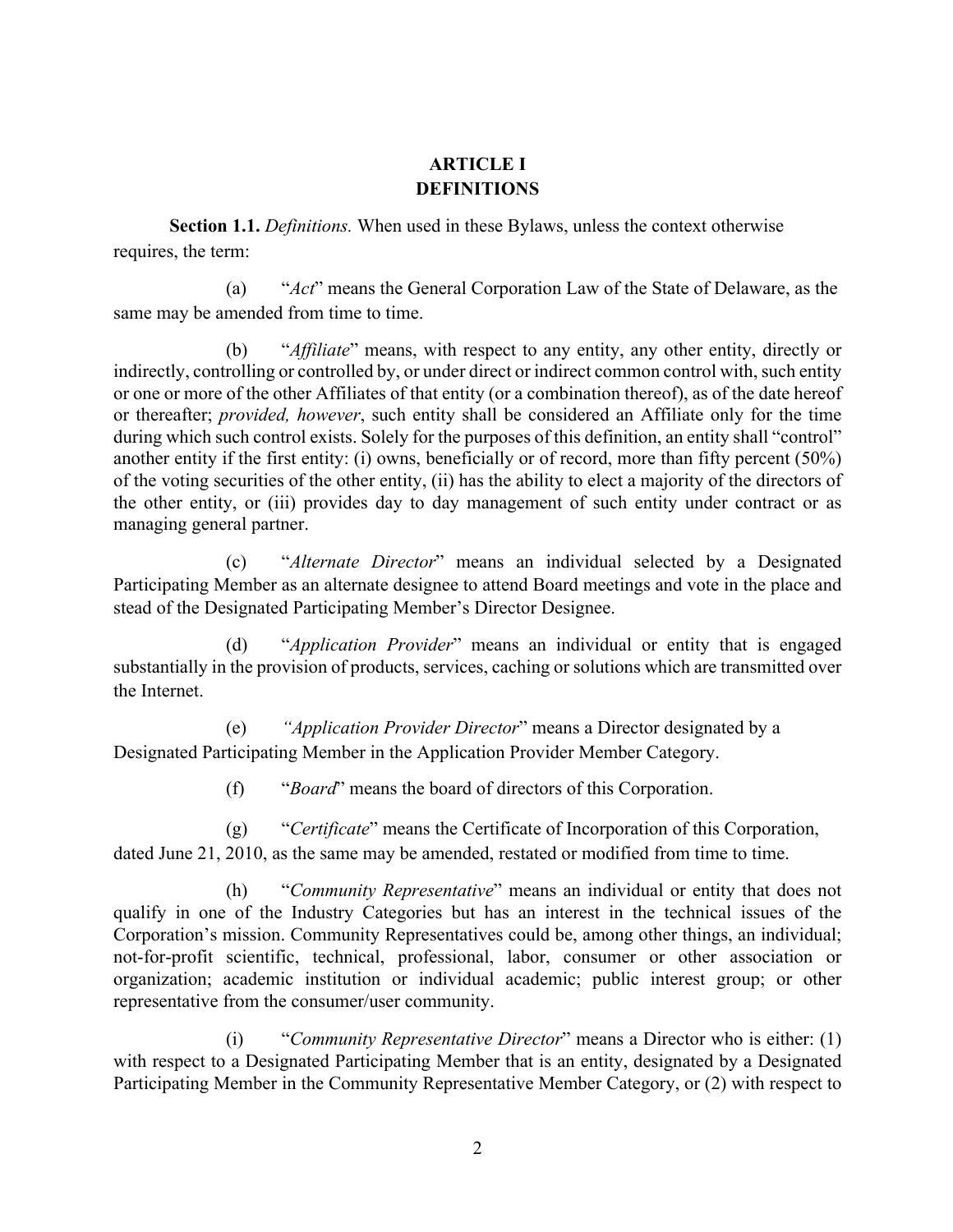# **ARTICLE I DEFINITIONS**

**Section 1.1.** *Definitions.* When used in these Bylaws, unless the context otherwise requires, the term:

(a) "*Act*" means the General Corporation Law of the State of Delaware, as the same may be amended from time to time.

(b) "*Affiliate*" means, with respect to any entity, any other entity, directly or indirectly, controlling or controlled by, or under direct or indirect common control with, such entity or one or more of the other Affiliates of that entity (or a combination thereof), as of the date hereof or thereafter; *provided, however*, such entity shall be considered an Affiliate only for the time during which such control exists. Solely for the purposes of this definition, an entity shall "control" another entity if the first entity: (i) owns, beneficially or of record, more than fifty percent (50%) of the voting securities of the other entity, (ii) has the ability to elect a majority of the directors of the other entity, or (iii) provides day to day management of such entity under contract or as managing general partner.

(c) "*Alternate Director*" means an individual selected by a Designated Participating Member as an alternate designee to attend Board meetings and vote in the place and stead of the Designated Participating Member's Director Designee.

(d) "*Application Provider*" means an individual or entity that is engaged substantially in the provision of products, services, caching or solutions which are transmitted over the Internet.

(e) *"Application Provider Director*" means a Director designated by a Designated Participating Member in the Application Provider Member Category.

(f) "*Board*" means the board of directors of this Corporation.

(g) "*Certificate*" means the Certificate of Incorporation of this Corporation, dated June 21, 2010, as the same may be amended, restated or modified from time to time.

(h) "*Community Representative*" means an individual or entity that does not qualify in one of the Industry Categories but has an interest in the technical issues of the Corporation's mission. Community Representatives could be, among other things, an individual; not-for-profit scientific, technical, professional, labor, consumer or other association or organization; academic institution or individual academic; public interest group; or other representative from the consumer/user community.

(i) "*Community Representative Director*" means a Director who is either: (1) with respect to a Designated Participating Member that is an entity, designated by a Designated Participating Member in the Community Representative Member Category, or (2) with respect to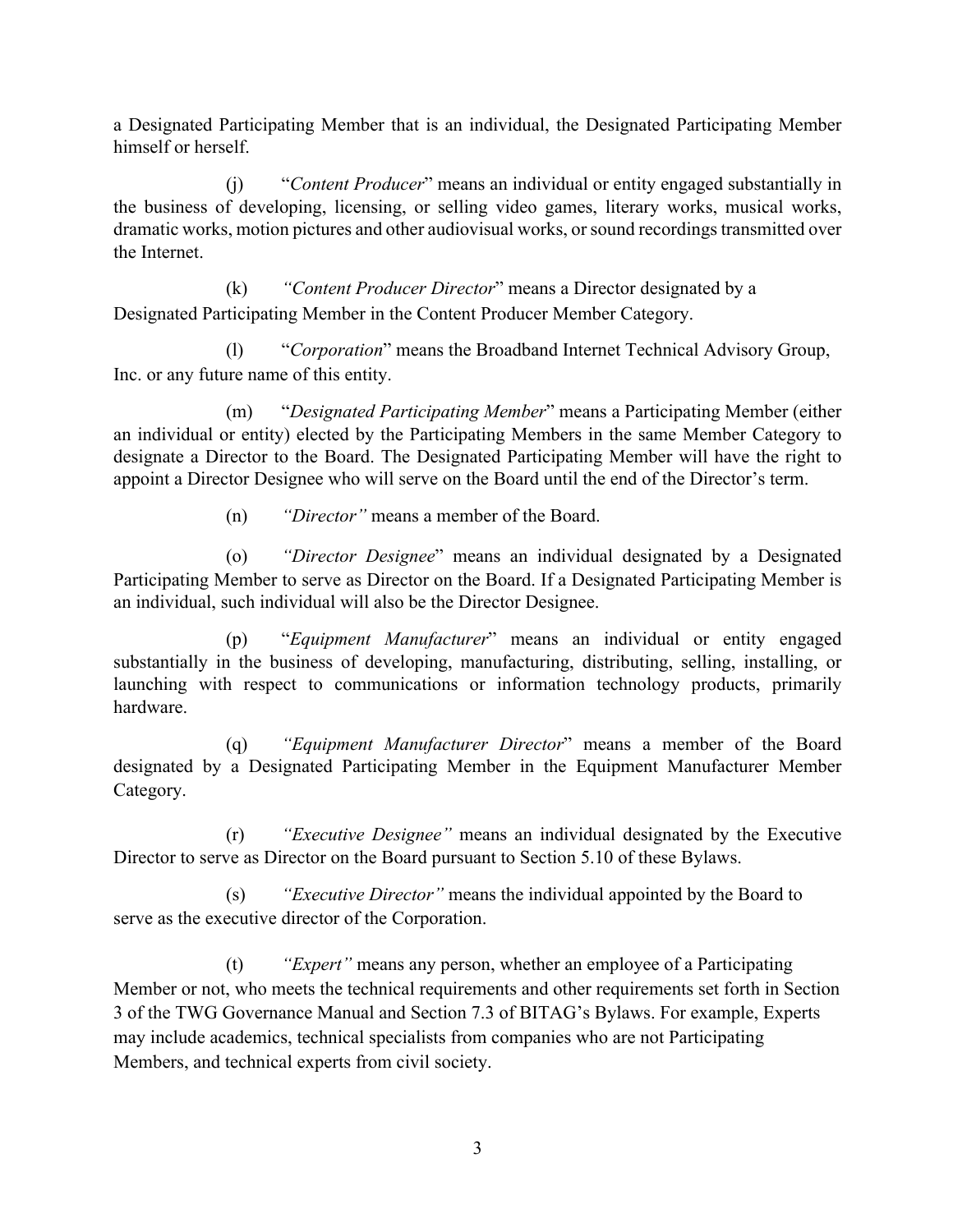a Designated Participating Member that is an individual, the Designated Participating Member himself or herself.

(j) "*Content Producer*" means an individual or entity engaged substantially in the business of developing, licensing, or selling video games, literary works, musical works, dramatic works, motion pictures and other audiovisual works, or sound recordings transmitted over the Internet.

(k) *"Content Producer Director*" means a Director designated by a Designated Participating Member in the Content Producer Member Category.

(l) "*Corporation*" means the Broadband Internet Technical Advisory Group, Inc. or any future name of this entity.

(m) "*Designated Participating Member*" means a Participating Member (either an individual or entity) elected by the Participating Members in the same Member Category to designate a Director to the Board. The Designated Participating Member will have the right to appoint a Director Designee who will serve on the Board until the end of the Director's term.

(n) *"Director"* means a member of the Board.

(o) *"Director Designee*" means an individual designated by a Designated Participating Member to serve as Director on the Board. If a Designated Participating Member is an individual, such individual will also be the Director Designee.

(p) "*Equipment Manufacturer*" means an individual or entity engaged substantially in the business of developing, manufacturing, distributing, selling, installing, or launching with respect to communications or information technology products, primarily hardware.

(q) *"Equipment Manufacturer Director*" means a member of the Board designated by a Designated Participating Member in the Equipment Manufacturer Member Category.

(r) *"Executive Designee"* means an individual designated by the Executive Director to serve as Director on the Board pursuant to Section 5.10 of these Bylaws.

(s) *"Executive Director"* means the individual appointed by the Board to serve as the executive director of the Corporation.

(t) *"Expert"* means any person, whether an employee of a Participating Member or not, who meets the technical requirements and other requirements set forth in Section 3 of the TWG Governance Manual and Section 7.3 of BITAG's Bylaws. For example, Experts may include academics, technical specialists from companies who are not Participating Members, and technical experts from civil society.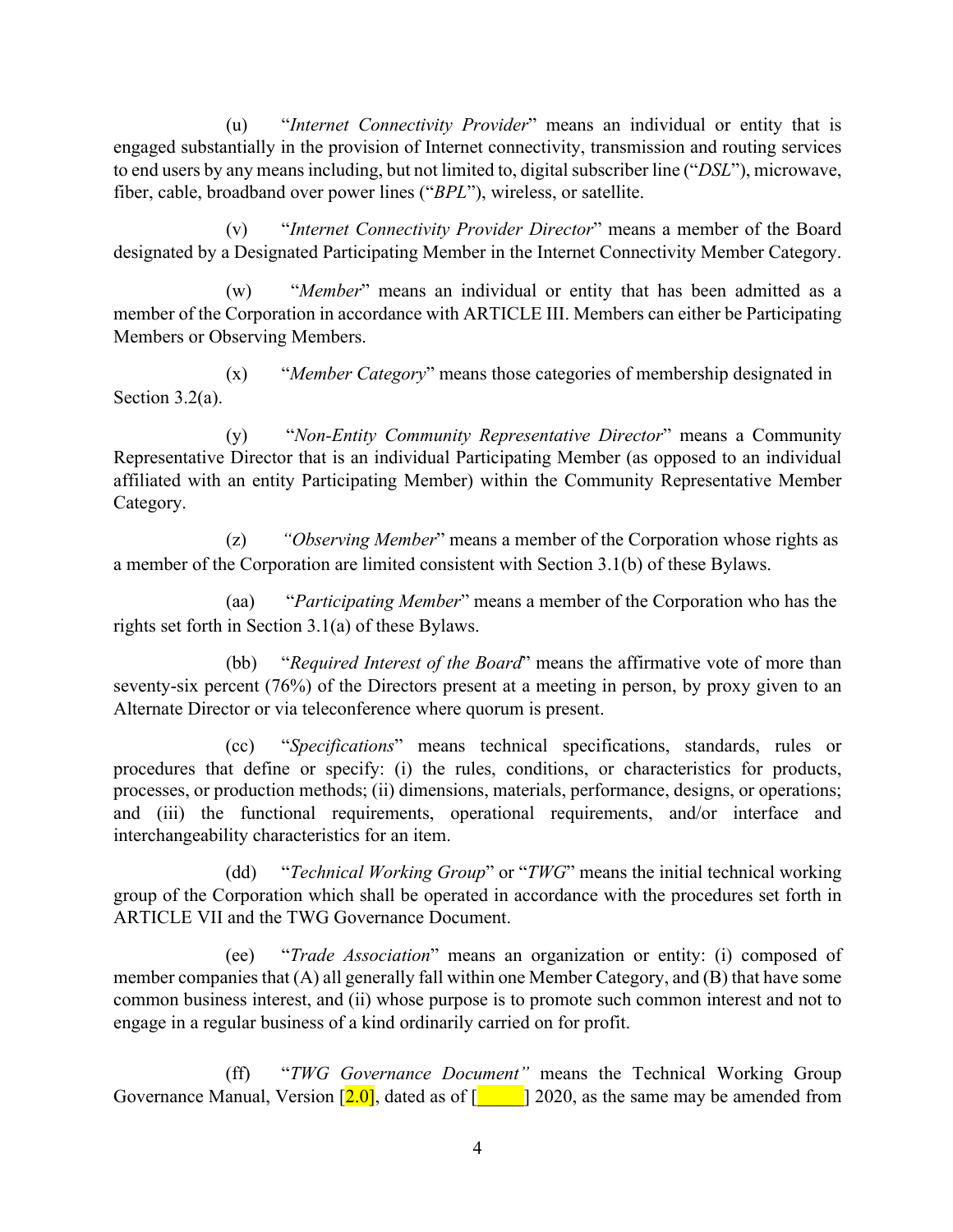(u) "*Internet Connectivity Provider*" means an individual or entity that is engaged substantially in the provision of Internet connectivity, transmission and routing services to end users by any means including, but not limited to, digital subscriber line ("*DSL*"), microwave, fiber, cable, broadband over power lines ("*BPL*"), wireless, or satellite.

(v) "*Internet Connectivity Provider Director*" means a member of the Board designated by a Designated Participating Member in the Internet Connectivity Member Category.

(w) "*Member*" means an individual or entity that has been admitted as a member of the Corporation in accordance with ARTICLE III. Members can either be Participating Members or Observing Members.

(x) "*Member Category*" means those categories of membership designated in Section 3.2(a).

(y) "*Non-Entity Community Representative Director*" means a Community Representative Director that is an individual Participating Member (as opposed to an individual affiliated with an entity Participating Member) within the Community Representative Member Category.

(z) *"Observing Member*" means a member of the Corporation whose rights as a member of the Corporation are limited consistent with Section 3.1(b) of these Bylaws.

(aa) "*Participating Member*" means a member of the Corporation who has the rights set forth in Section 3.1(a) of these Bylaws.

(bb) "*Required Interest of the Board*" means the affirmative vote of more than seventy-six percent (76%) of the Directors present at a meeting in person, by proxy given to an Alternate Director or via teleconference where quorum is present.

(cc) "*Specifications*" means technical specifications, standards, rules or procedures that define or specify: (i) the rules, conditions, or characteristics for products, processes, or production methods; (ii) dimensions, materials, performance, designs, or operations; and (iii) the functional requirements, operational requirements, and/or interface and interchangeability characteristics for an item.

(dd) "*Technical Working Group*" or "*TWG*" means the initial technical working group of the Corporation which shall be operated in accordance with the procedures set forth in ARTICLE VII and the TWG Governance Document.

(ee) "*Trade Association*" means an organization or entity: (i) composed of member companies that (A) all generally fall within one Member Category, and (B) that have some common business interest, and (ii) whose purpose is to promote such common interest and not to engage in a regular business of a kind ordinarily carried on for profit.

(ff) "*TWG Governance Document"* means the Technical Working Group Governance Manual, Version  $\left[2.0\right]$ , dated as of  $\left[2.0\right]$  2020, as the same may be amended from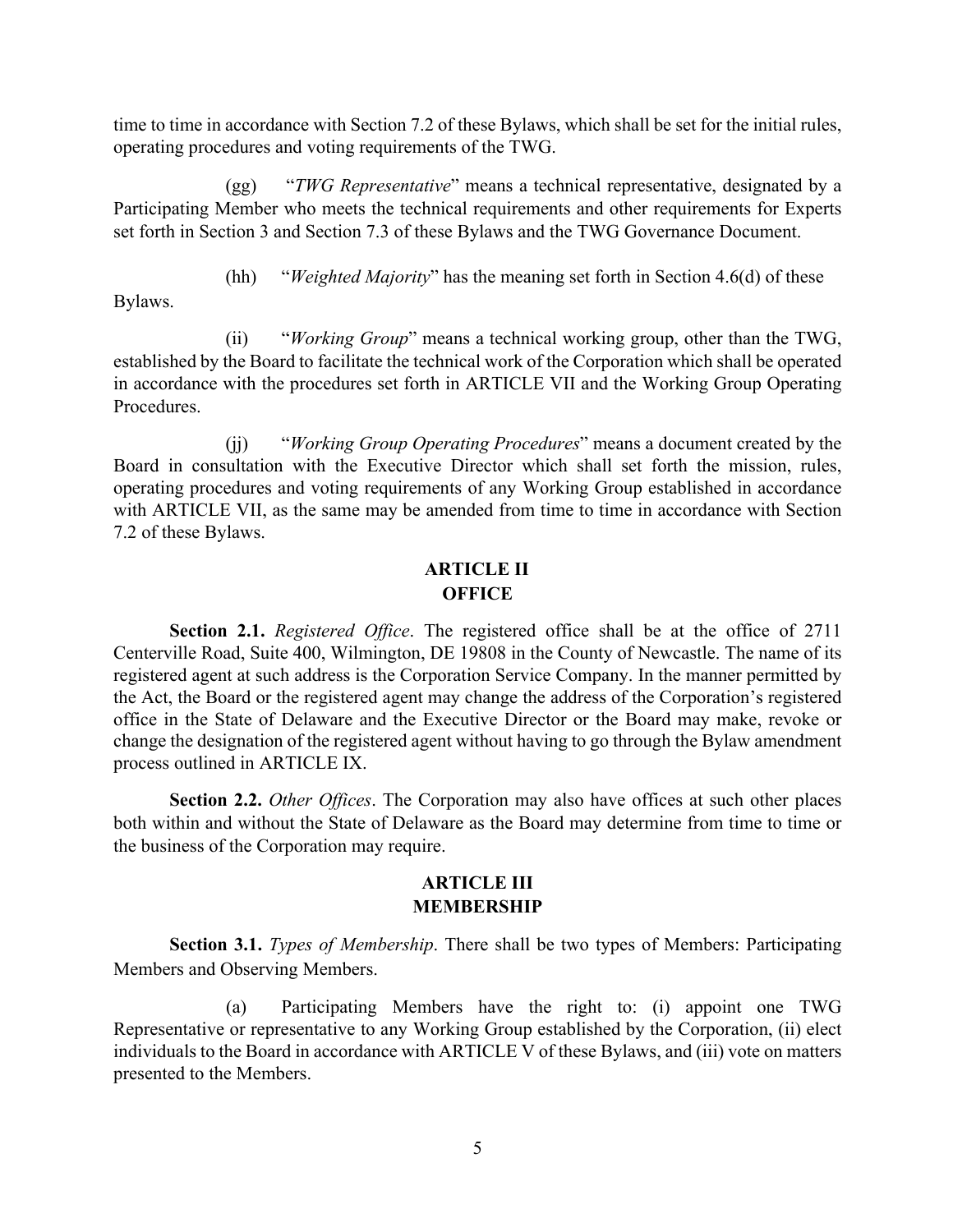time to time in accordance with Section 7.2 of these Bylaws, which shall be set for the initial rules, operating procedures and voting requirements of the TWG.

(gg) "*TWG Representative*" means a technical representative, designated by a Participating Member who meets the technical requirements and other requirements for Experts set forth in Section 3 and Section 7.3 of these Bylaws and the TWG Governance Document.

(hh) "*Weighted Majority*" has the meaning set forth in Section 4.6(d) of these

Bylaws.

(ii) "*Working Group*" means a technical working group, other than the TWG, established by the Board to facilitate the technical work of the Corporation which shall be operated in accordance with the procedures set forth in ARTICLE VII and the Working Group Operating Procedures.

(jj) "*Working Group Operating Procedures*" means a document created by the Board in consultation with the Executive Director which shall set forth the mission, rules, operating procedures and voting requirements of any Working Group established in accordance with ARTICLE VII, as the same may be amended from time to time in accordance with Section 7.2 of these Bylaws.

## **ARTICLE II OFFICE**

**Section 2.1.** *Registered Office*. The registered office shall be at the office of 2711 Centerville Road, Suite 400, Wilmington, DE 19808 in the County of Newcastle. The name of its registered agent at such address is the Corporation Service Company. In the manner permitted by the Act, the Board or the registered agent may change the address of the Corporation's registered office in the State of Delaware and the Executive Director or the Board may make, revoke or change the designation of the registered agent without having to go through the Bylaw amendment process outlined in ARTICLE IX.

**Section 2.2.** *Other Offices*. The Corporation may also have offices at such other places both within and without the State of Delaware as the Board may determine from time to time or the business of the Corporation may require.

## **ARTICLE III MEMBERSHIP**

**Section 3.1.** *Types of Membership*. There shall be two types of Members: Participating Members and Observing Members.

(a) Participating Members have the right to: (i) appoint one TWG Representative or representative to any Working Group established by the Corporation, (ii) elect individuals to the Board in accordance with ARTICLE V of these Bylaws, and (iii) vote on matters presented to the Members.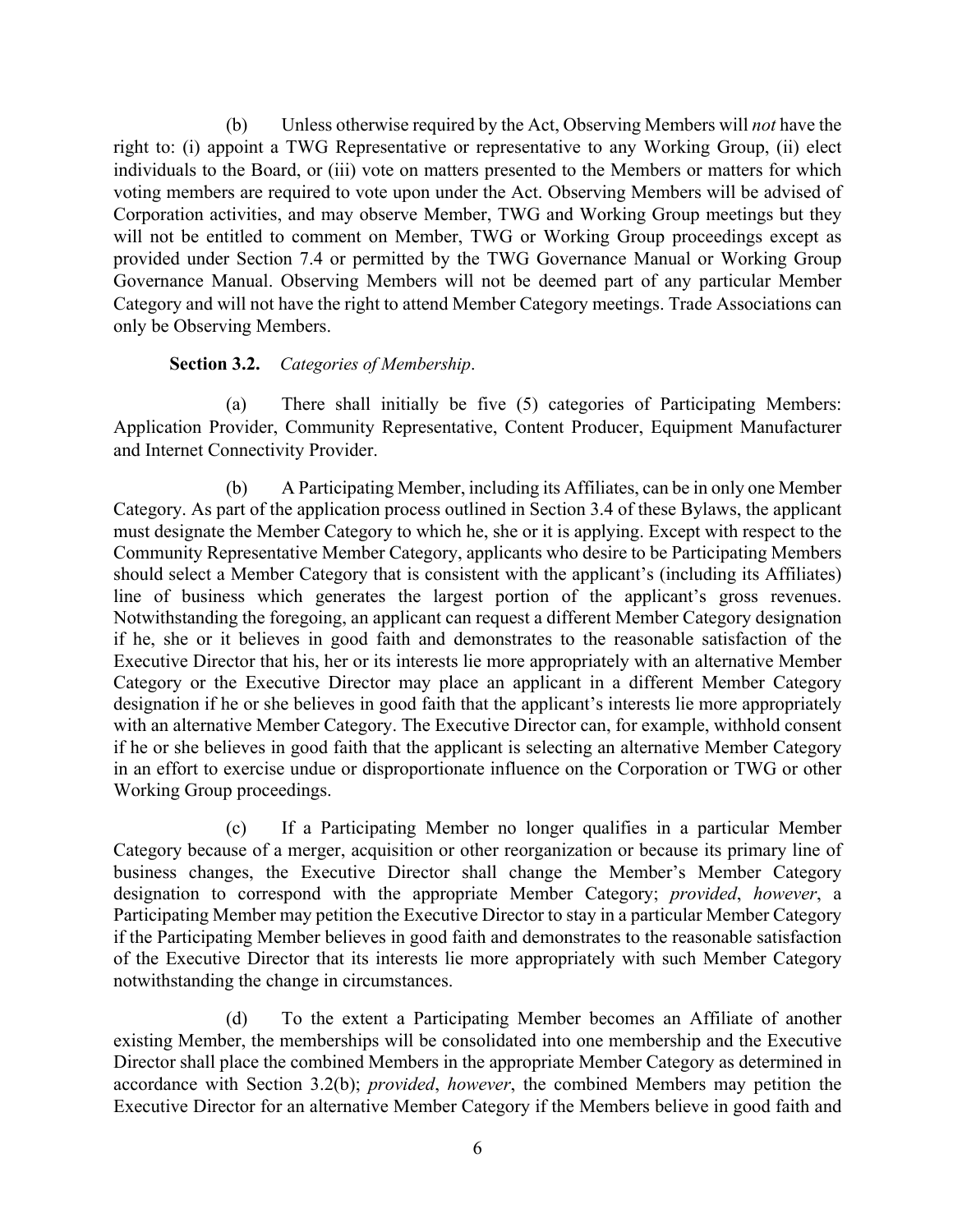(b) Unless otherwise required by the Act, Observing Members will *not* have the right to: (i) appoint a TWG Representative or representative to any Working Group, (ii) elect individuals to the Board, or (iii) vote on matters presented to the Members or matters for which voting members are required to vote upon under the Act. Observing Members will be advised of Corporation activities, and may observe Member, TWG and Working Group meetings but they will not be entitled to comment on Member, TWG or Working Group proceedings except as provided under Section 7.4 or permitted by the TWG Governance Manual or Working Group Governance Manual. Observing Members will not be deemed part of any particular Member Category and will not have the right to attend Member Category meetings. Trade Associations can only be Observing Members.

#### **Section 3.2.** *Categories of Membership*.

(a) There shall initially be five (5) categories of Participating Members: Application Provider, Community Representative, Content Producer, Equipment Manufacturer and Internet Connectivity Provider.

(b) A Participating Member, including its Affiliates, can be in only one Member Category. As part of the application process outlined in Section 3.4 of these Bylaws, the applicant must designate the Member Category to which he, she or it is applying. Except with respect to the Community Representative Member Category, applicants who desire to be Participating Members should select a Member Category that is consistent with the applicant's (including its Affiliates) line of business which generates the largest portion of the applicant's gross revenues. Notwithstanding the foregoing, an applicant can request a different Member Category designation if he, she or it believes in good faith and demonstrates to the reasonable satisfaction of the Executive Director that his, her or its interests lie more appropriately with an alternative Member Category or the Executive Director may place an applicant in a different Member Category designation if he or she believes in good faith that the applicant's interests lie more appropriately with an alternative Member Category. The Executive Director can, for example, withhold consent if he or she believes in good faith that the applicant is selecting an alternative Member Category in an effort to exercise undue or disproportionate influence on the Corporation or TWG or other Working Group proceedings.

(c) If a Participating Member no longer qualifies in a particular Member Category because of a merger, acquisition or other reorganization or because its primary line of business changes, the Executive Director shall change the Member's Member Category designation to correspond with the appropriate Member Category; *provided*, *however*, a Participating Member may petition the Executive Director to stay in a particular Member Category if the Participating Member believes in good faith and demonstrates to the reasonable satisfaction of the Executive Director that its interests lie more appropriately with such Member Category notwithstanding the change in circumstances.

(d) To the extent a Participating Member becomes an Affiliate of another existing Member, the memberships will be consolidated into one membership and the Executive Director shall place the combined Members in the appropriate Member Category as determined in accordance with Section 3.2(b); *provided*, *however*, the combined Members may petition the Executive Director for an alternative Member Category if the Members believe in good faith and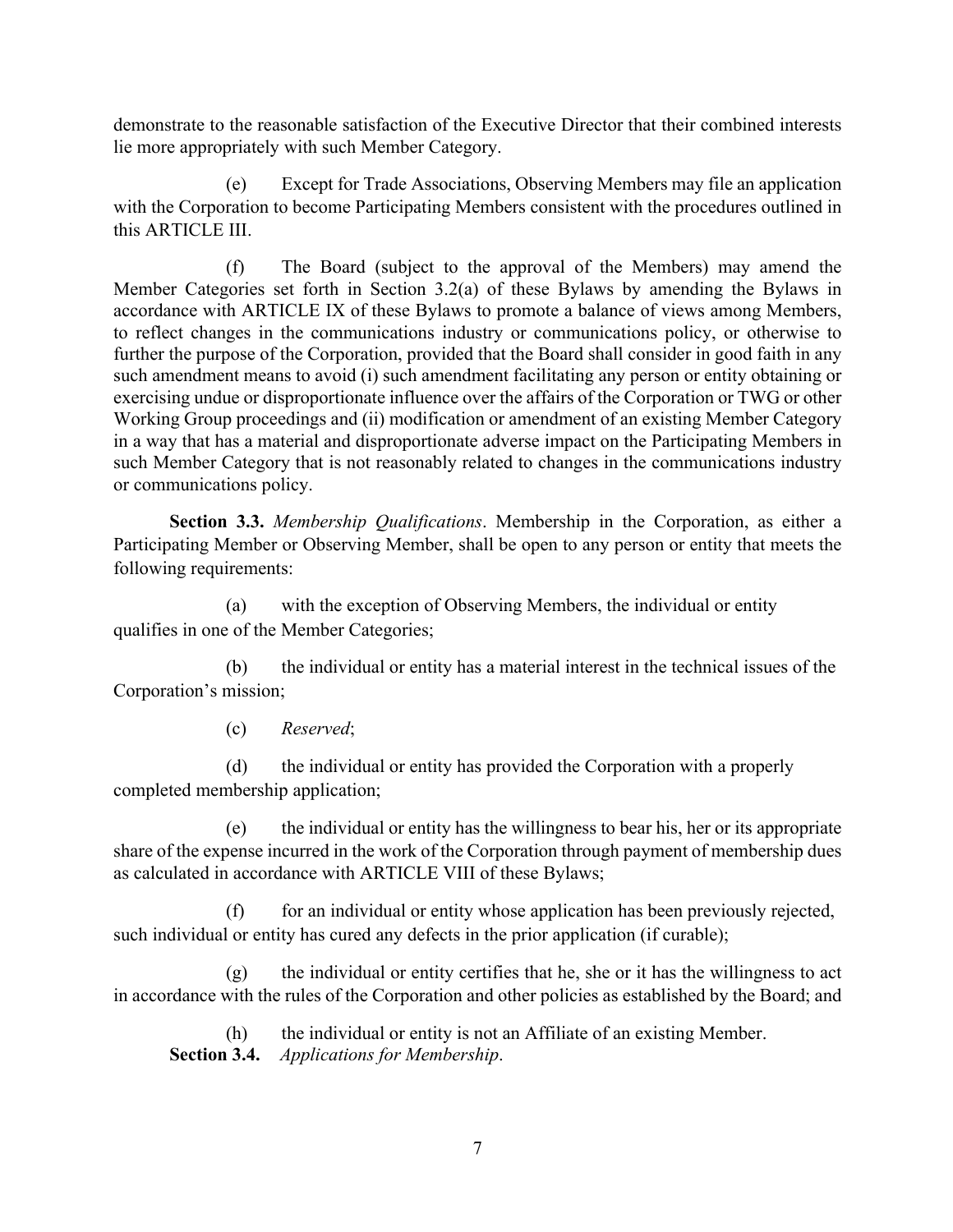demonstrate to the reasonable satisfaction of the Executive Director that their combined interests lie more appropriately with such Member Category.

(e) Except for Trade Associations, Observing Members may file an application with the Corporation to become Participating Members consistent with the procedures outlined in this ARTICLE III.

(f) The Board (subject to the approval of the Members) may amend the Member Categories set forth in Section  $3.2(a)$  of these Bylaws by amending the Bylaws in accordance with ARTICLE IX of these Bylaws to promote a balance of views among Members, to reflect changes in the communications industry or communications policy, or otherwise to further the purpose of the Corporation, provided that the Board shall consider in good faith in any such amendment means to avoid (i) such amendment facilitating any person or entity obtaining or exercising undue or disproportionate influence over the affairs of the Corporation or TWG or other Working Group proceedings and (ii) modification or amendment of an existing Member Category in a way that has a material and disproportionate adverse impact on the Participating Members in such Member Category that is not reasonably related to changes in the communications industry or communications policy.

**Section 3.3.** *Membership Qualifications*. Membership in the Corporation, as either a Participating Member or Observing Member, shall be open to any person or entity that meets the following requirements:

(a) with the exception of Observing Members, the individual or entity qualifies in one of the Member Categories;

(b) the individual or entity has a material interest in the technical issues of the Corporation's mission;

(c) *Reserved*;

(d) the individual or entity has provided the Corporation with a properly completed membership application;

(e) the individual or entity has the willingness to bear his, her or its appropriate share of the expense incurred in the work of the Corporation through payment of membership dues as calculated in accordance with ARTICLE VIII of these Bylaws;

for an individual or entity whose application has been previously rejected, such individual or entity has cured any defects in the prior application (if curable);

 $(g)$  the individual or entity certifies that he, she or it has the willingness to act in accordance with the rules of the Corporation and other policies as established by the Board; and

(h) the individual or entity is not an Affiliate of an existing Member. **Section 3.4.** *Applications for Membership*.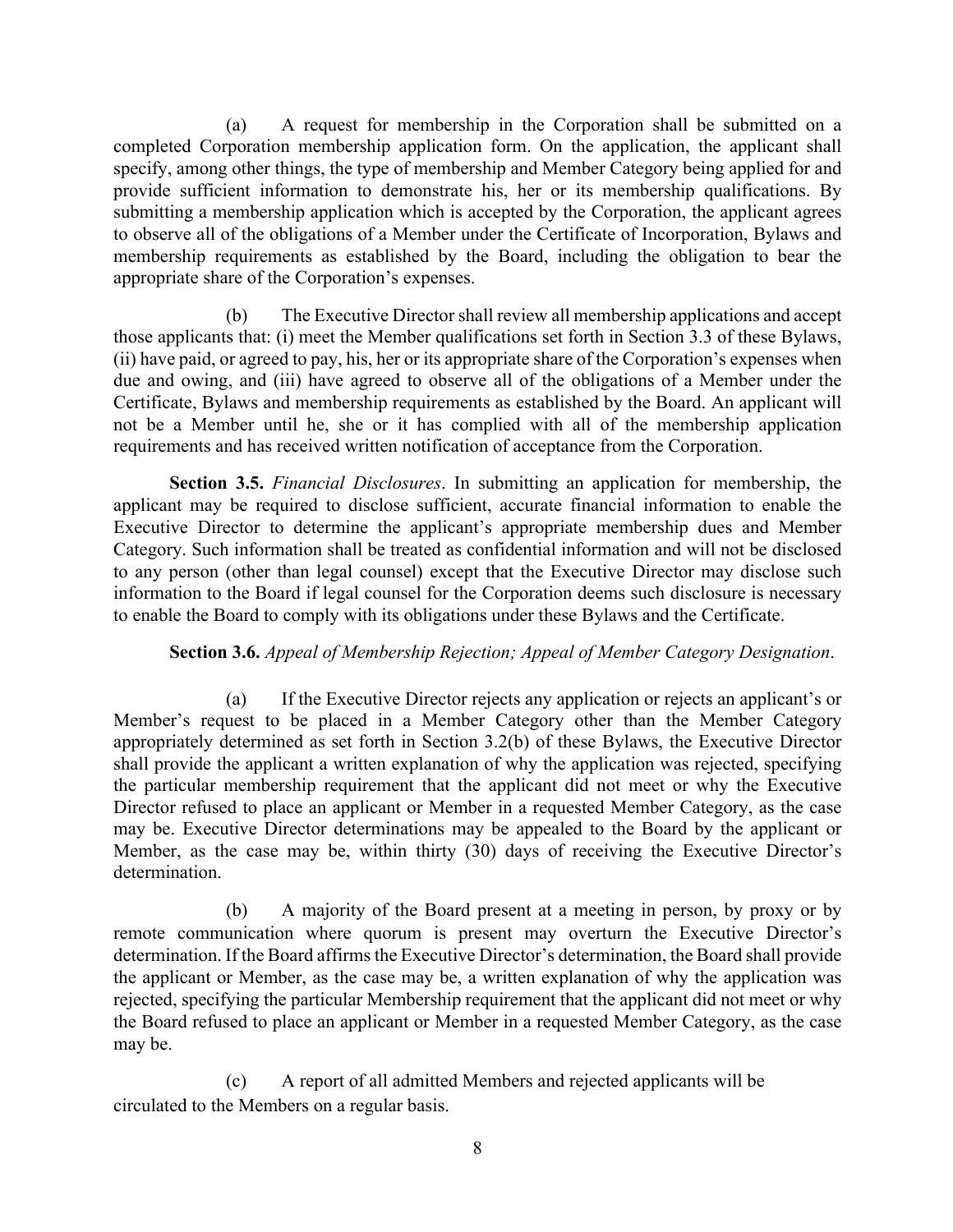(a) A request for membership in the Corporation shall be submitted on a completed Corporation membership application form. On the application, the applicant shall specify, among other things, the type of membership and Member Category being applied for and provide sufficient information to demonstrate his, her or its membership qualifications. By submitting a membership application which is accepted by the Corporation, the applicant agrees to observe all of the obligations of a Member under the Certificate of Incorporation, Bylaws and membership requirements as established by the Board, including the obligation to bear the appropriate share of the Corporation's expenses.

(b) The Executive Director shall review all membership applications and accept those applicants that: (i) meet the Member qualifications set forth in Section 3.3 of these Bylaws, (ii) have paid, or agreed to pay, his, her or its appropriate share of the Corporation's expenses when due and owing, and (iii) have agreed to observe all of the obligations of a Member under the Certificate, Bylaws and membership requirements as established by the Board. An applicant will not be a Member until he, she or it has complied with all of the membership application requirements and has received written notification of acceptance from the Corporation.

**Section 3.5.** *Financial Disclosures*. In submitting an application for membership, the applicant may be required to disclose sufficient, accurate financial information to enable the Executive Director to determine the applicant's appropriate membership dues and Member Category. Such information shall be treated as confidential information and will not be disclosed to any person (other than legal counsel) except that the Executive Director may disclose such information to the Board if legal counsel for the Corporation deems such disclosure is necessary to enable the Board to comply with its obligations under these Bylaws and the Certificate.

#### **Section 3.6.** *Appeal of Membership Rejection; Appeal of Member Category Designation*.

(a) If the Executive Director rejects any application or rejects an applicant's or Member's request to be placed in a Member Category other than the Member Category appropriately determined as set forth in Section 3.2(b) of these Bylaws, the Executive Director shall provide the applicant a written explanation of why the application was rejected, specifying the particular membership requirement that the applicant did not meet or why the Executive Director refused to place an applicant or Member in a requested Member Category, as the case may be. Executive Director determinations may be appealed to the Board by the applicant or Member, as the case may be, within thirty (30) days of receiving the Executive Director's determination.

(b) A majority of the Board present at a meeting in person, by proxy or by remote communication where quorum is present may overturn the Executive Director's determination. If the Board affirms the Executive Director's determination, the Board shall provide the applicant or Member, as the case may be, a written explanation of why the application was rejected, specifying the particular Membership requirement that the applicant did not meet or why the Board refused to place an applicant or Member in a requested Member Category, as the case may be.

(c) A report of all admitted Members and rejected applicants will be circulated to the Members on a regular basis.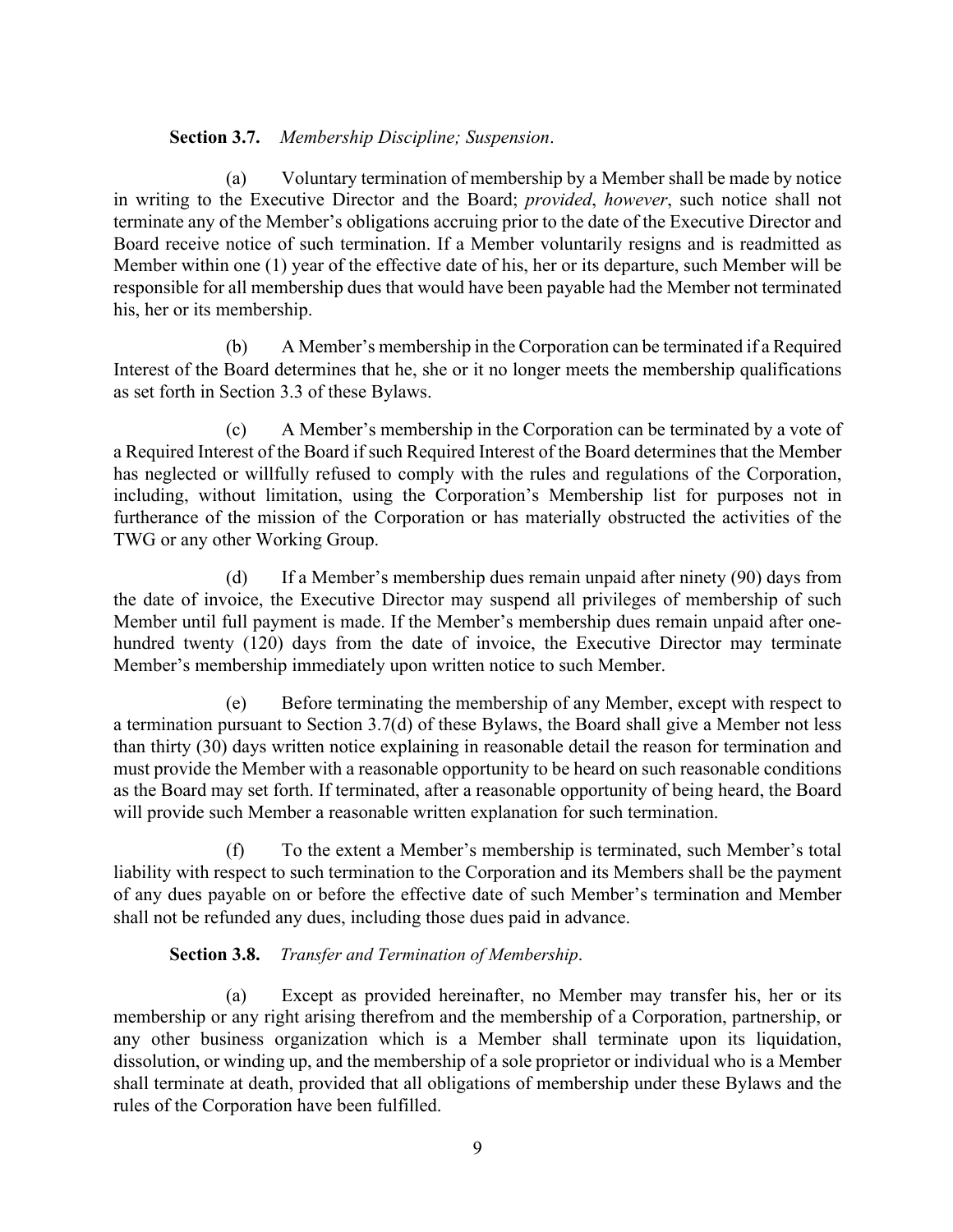## **Section 3.7.** *Membership Discipline; Suspension*.

(a) Voluntary termination of membership by a Member shall be made by notice in writing to the Executive Director and the Board; *provided*, *however*, such notice shall not terminate any of the Member's obligations accruing prior to the date of the Executive Director and Board receive notice of such termination. If a Member voluntarily resigns and is readmitted as Member within one (1) year of the effective date of his, her or its departure, such Member will be responsible for all membership dues that would have been payable had the Member not terminated his, her or its membership.

(b) A Member's membership in the Corporation can be terminated if a Required Interest of the Board determines that he, she or it no longer meets the membership qualifications as set forth in Section 3.3 of these Bylaws.

(c) A Member's membership in the Corporation can be terminated by a vote of a Required Interest of the Board if such Required Interest of the Board determines that the Member has neglected or willfully refused to comply with the rules and regulations of the Corporation, including, without limitation, using the Corporation's Membership list for purposes not in furtherance of the mission of the Corporation or has materially obstructed the activities of the TWG or any other Working Group.

(d) If a Member's membership dues remain unpaid after ninety (90) days from the date of invoice, the Executive Director may suspend all privileges of membership of such Member until full payment is made. If the Member's membership dues remain unpaid after onehundred twenty (120) days from the date of invoice, the Executive Director may terminate Member's membership immediately upon written notice to such Member.

(e) Before terminating the membership of any Member, except with respect to a termination pursuant to Section 3.7(d) of these Bylaws, the Board shall give a Member not less than thirty (30) days written notice explaining in reasonable detail the reason for termination and must provide the Member with a reasonable opportunity to be heard on such reasonable conditions as the Board may set forth. If terminated, after a reasonable opportunity of being heard, the Board will provide such Member a reasonable written explanation for such termination.

(f) To the extent a Member's membership is terminated, such Member's total liability with respect to such termination to the Corporation and its Members shall be the payment of any dues payable on or before the effective date of such Member's termination and Member shall not be refunded any dues, including those dues paid in advance.

## **Section 3.8.** *Transfer and Termination of Membership*.

(a) Except as provided hereinafter, no Member may transfer his, her or its membership or any right arising therefrom and the membership of a Corporation, partnership, or any other business organization which is a Member shall terminate upon its liquidation, dissolution, or winding up, and the membership of a sole proprietor or individual who is a Member shall terminate at death, provided that all obligations of membership under these Bylaws and the rules of the Corporation have been fulfilled.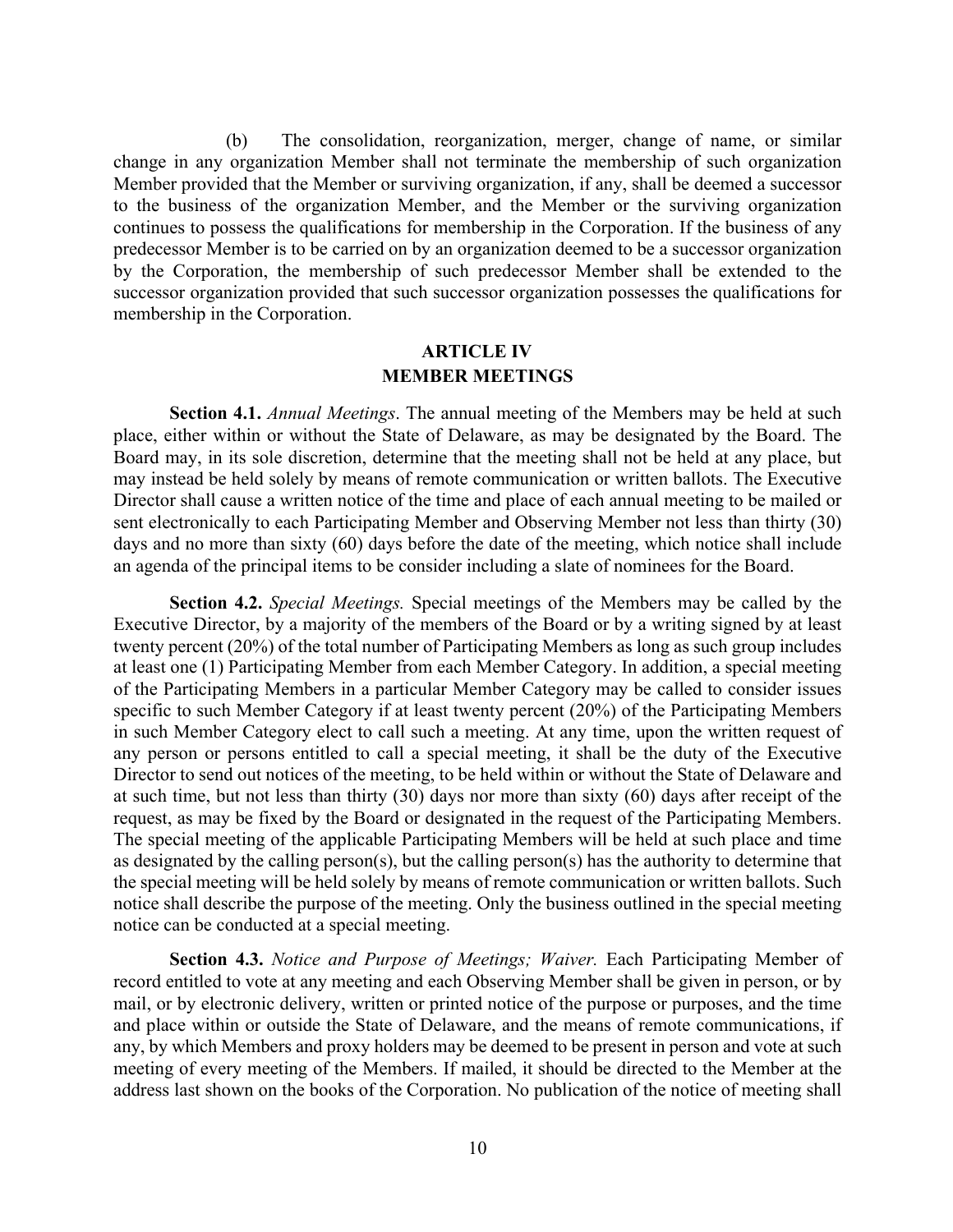(b) The consolidation, reorganization, merger, change of name, or similar change in any organization Member shall not terminate the membership of such organization Member provided that the Member or surviving organization, if any, shall be deemed a successor to the business of the organization Member, and the Member or the surviving organization continues to possess the qualifications for membership in the Corporation. If the business of any predecessor Member is to be carried on by an organization deemed to be a successor organization by the Corporation, the membership of such predecessor Member shall be extended to the successor organization provided that such successor organization possesses the qualifications for membership in the Corporation.

### **ARTICLE IV MEMBER MEETINGS**

**Section 4.1.** *Annual Meetings*. The annual meeting of the Members may be held at such place, either within or without the State of Delaware, as may be designated by the Board. The Board may, in its sole discretion, determine that the meeting shall not be held at any place, but may instead be held solely by means of remote communication or written ballots. The Executive Director shall cause a written notice of the time and place of each annual meeting to be mailed or sent electronically to each Participating Member and Observing Member not less than thirty (30) days and no more than sixty (60) days before the date of the meeting, which notice shall include an agenda of the principal items to be consider including a slate of nominees for the Board.

**Section 4.2.** *Special Meetings.* Special meetings of the Members may be called by the Executive Director, by a majority of the members of the Board or by a writing signed by at least twenty percent (20%) of the total number of Participating Members as long as such group includes at least one (1) Participating Member from each Member Category. In addition, a special meeting of the Participating Members in a particular Member Category may be called to consider issues specific to such Member Category if at least twenty percent (20%) of the Participating Members in such Member Category elect to call such a meeting. At any time, upon the written request of any person or persons entitled to call a special meeting, it shall be the duty of the Executive Director to send out notices of the meeting, to be held within or without the State of Delaware and at such time, but not less than thirty (30) days nor more than sixty (60) days after receipt of the request, as may be fixed by the Board or designated in the request of the Participating Members. The special meeting of the applicable Participating Members will be held at such place and time as designated by the calling person(s), but the calling person(s) has the authority to determine that the special meeting will be held solely by means of remote communication or written ballots. Such notice shall describe the purpose of the meeting. Only the business outlined in the special meeting notice can be conducted at a special meeting.

**Section 4.3.** *Notice and Purpose of Meetings; Waiver.* Each Participating Member of record entitled to vote at any meeting and each Observing Member shall be given in person, or by mail, or by electronic delivery, written or printed notice of the purpose or purposes, and the time and place within or outside the State of Delaware, and the means of remote communications, if any, by which Members and proxy holders may be deemed to be present in person and vote at such meeting of every meeting of the Members. If mailed, it should be directed to the Member at the address last shown on the books of the Corporation. No publication of the notice of meeting shall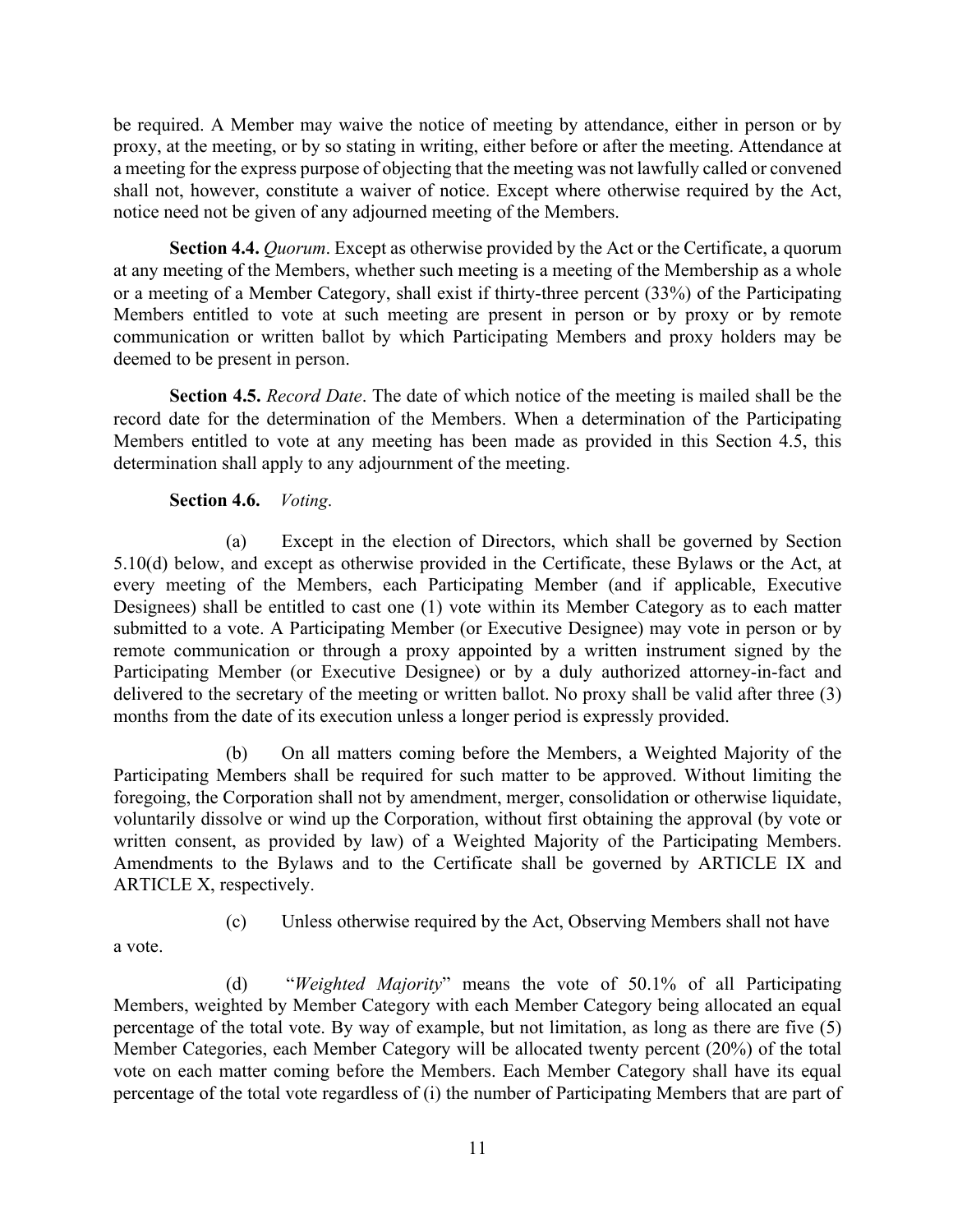be required. A Member may waive the notice of meeting by attendance, either in person or by proxy, at the meeting, or by so stating in writing, either before or after the meeting. Attendance at a meeting for the express purpose of objecting that the meeting was not lawfully called or convened shall not, however, constitute a waiver of notice. Except where otherwise required by the Act, notice need not be given of any adjourned meeting of the Members.

**Section 4.4.** *Quorum*. Except as otherwise provided by the Act or the Certificate, a quorum at any meeting of the Members, whether such meeting is a meeting of the Membership as a whole or a meeting of a Member Category, shall exist if thirty-three percent (33%) of the Participating Members entitled to vote at such meeting are present in person or by proxy or by remote communication or written ballot by which Participating Members and proxy holders may be deemed to be present in person.

**Section 4.5.** *Record Date*. The date of which notice of the meeting is mailed shall be the record date for the determination of the Members. When a determination of the Participating Members entitled to vote at any meeting has been made as provided in this Section 4.5, this determination shall apply to any adjournment of the meeting.

**Section 4.6.** *Voting*.

(a) Except in the election of Directors, which shall be governed by Section 5.10(d) below, and except as otherwise provided in the Certificate, these Bylaws or the Act, at every meeting of the Members, each Participating Member (and if applicable, Executive Designees) shall be entitled to cast one (1) vote within its Member Category as to each matter submitted to a vote. A Participating Member (or Executive Designee) may vote in person or by remote communication or through a proxy appointed by a written instrument signed by the Participating Member (or Executive Designee) or by a duly authorized attorney-in-fact and delivered to the secretary of the meeting or written ballot. No proxy shall be valid after three (3) months from the date of its execution unless a longer period is expressly provided.

(b) On all matters coming before the Members, a Weighted Majority of the Participating Members shall be required for such matter to be approved. Without limiting the foregoing, the Corporation shall not by amendment, merger, consolidation or otherwise liquidate, voluntarily dissolve or wind up the Corporation, without first obtaining the approval (by vote or written consent, as provided by law) of a Weighted Majority of the Participating Members. Amendments to the Bylaws and to the Certificate shall be governed by ARTICLE IX and ARTICLE X, respectively.

a vote.

(c) Unless otherwise required by the Act, Observing Members shall not have

(d) "*Weighted Majority*" means the vote of 50.1% of all Participating Members, weighted by Member Category with each Member Category being allocated an equal percentage of the total vote. By way of example, but not limitation, as long as there are five (5) Member Categories, each Member Category will be allocated twenty percent (20%) of the total vote on each matter coming before the Members. Each Member Category shall have its equal percentage of the total vote regardless of (i) the number of Participating Members that are part of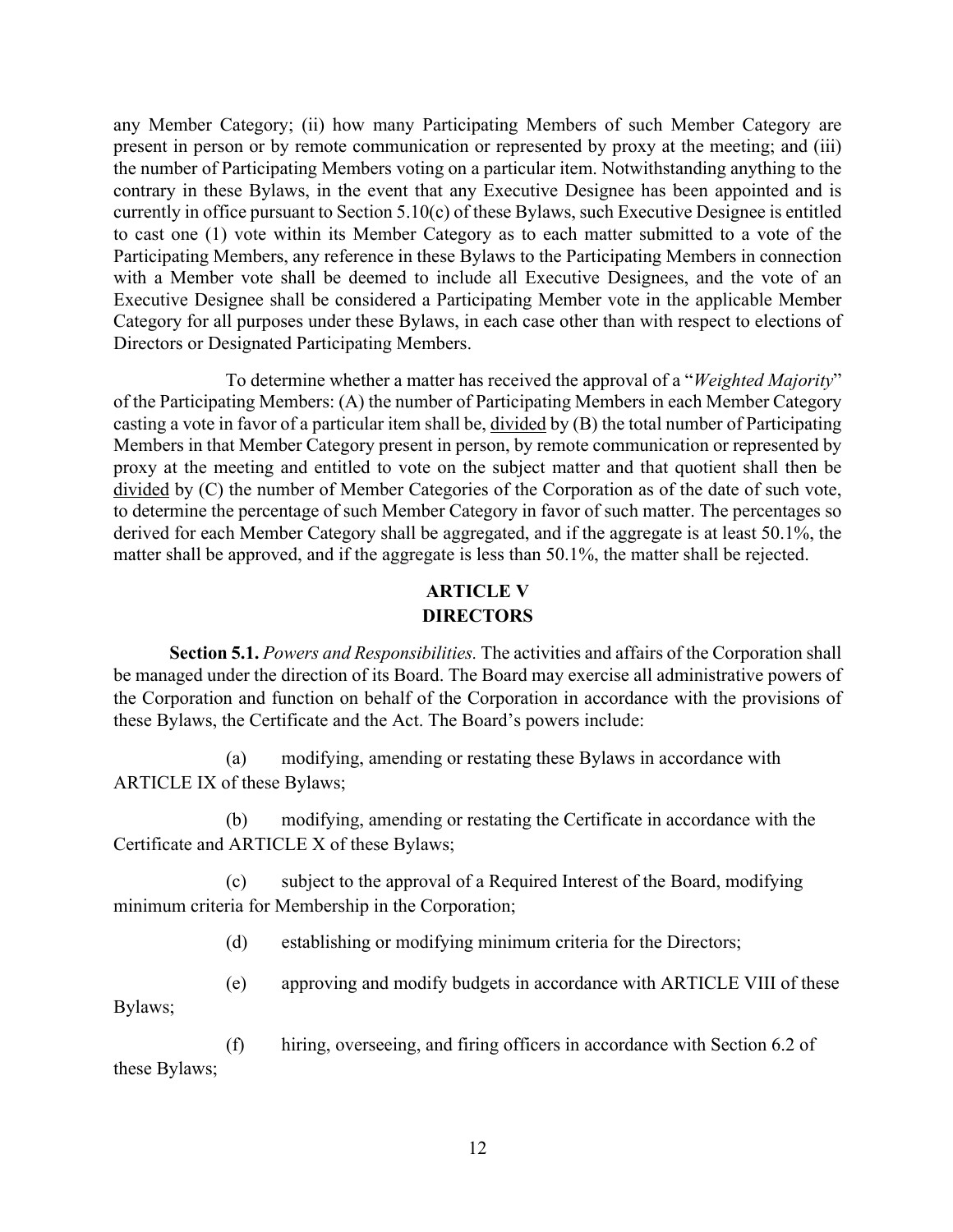any Member Category; (ii) how many Participating Members of such Member Category are present in person or by remote communication or represented by proxy at the meeting; and (iii) the number of Participating Members voting on a particular item. Notwithstanding anything to the contrary in these Bylaws, in the event that any Executive Designee has been appointed and is currently in office pursuant to Section 5.10(c) of these Bylaws, such Executive Designee is entitled to cast one (1) vote within its Member Category as to each matter submitted to a vote of the Participating Members, any reference in these Bylaws to the Participating Members in connection with a Member vote shall be deemed to include all Executive Designees, and the vote of an Executive Designee shall be considered a Participating Member vote in the applicable Member Category for all purposes under these Bylaws, in each case other than with respect to elections of Directors or Designated Participating Members.

To determine whether a matter has received the approval of a "*Weighted Majority*" of the Participating Members: (A) the number of Participating Members in each Member Category casting a vote in favor of a particular item shall be, divided by (B) the total number of Participating Members in that Member Category present in person, by remote communication or represented by proxy at the meeting and entitled to vote on the subject matter and that quotient shall then be divided by (C) the number of Member Categories of the Corporation as of the date of such vote, to determine the percentage of such Member Category in favor of such matter. The percentages so derived for each Member Category shall be aggregated, and if the aggregate is at least 50.1%, the matter shall be approved, and if the aggregate is less than 50.1%, the matter shall be rejected.

## **ARTICLE V DIRECTORS**

**Section 5.1.** *Powers and Responsibilities.* The activities and affairs of the Corporation shall be managed under the direction of its Board. The Board may exercise all administrative powers of the Corporation and function on behalf of the Corporation in accordance with the provisions of these Bylaws, the Certificate and the Act. The Board's powers include:

(a) modifying, amending or restating these Bylaws in accordance with ARTICLE IX of these Bylaws;

(b) modifying, amending or restating the Certificate in accordance with the Certificate and ARTICLE X of these Bylaws;

(c) subject to the approval of a Required Interest of the Board, modifying minimum criteria for Membership in the Corporation;

(d) establishing or modifying minimum criteria for the Directors;

(e) approving and modify budgets in accordance with ARTICLE VIII of these

Bylaws;

(f) hiring, overseeing, and firing officers in accordance with Section 6.2 of these Bylaws;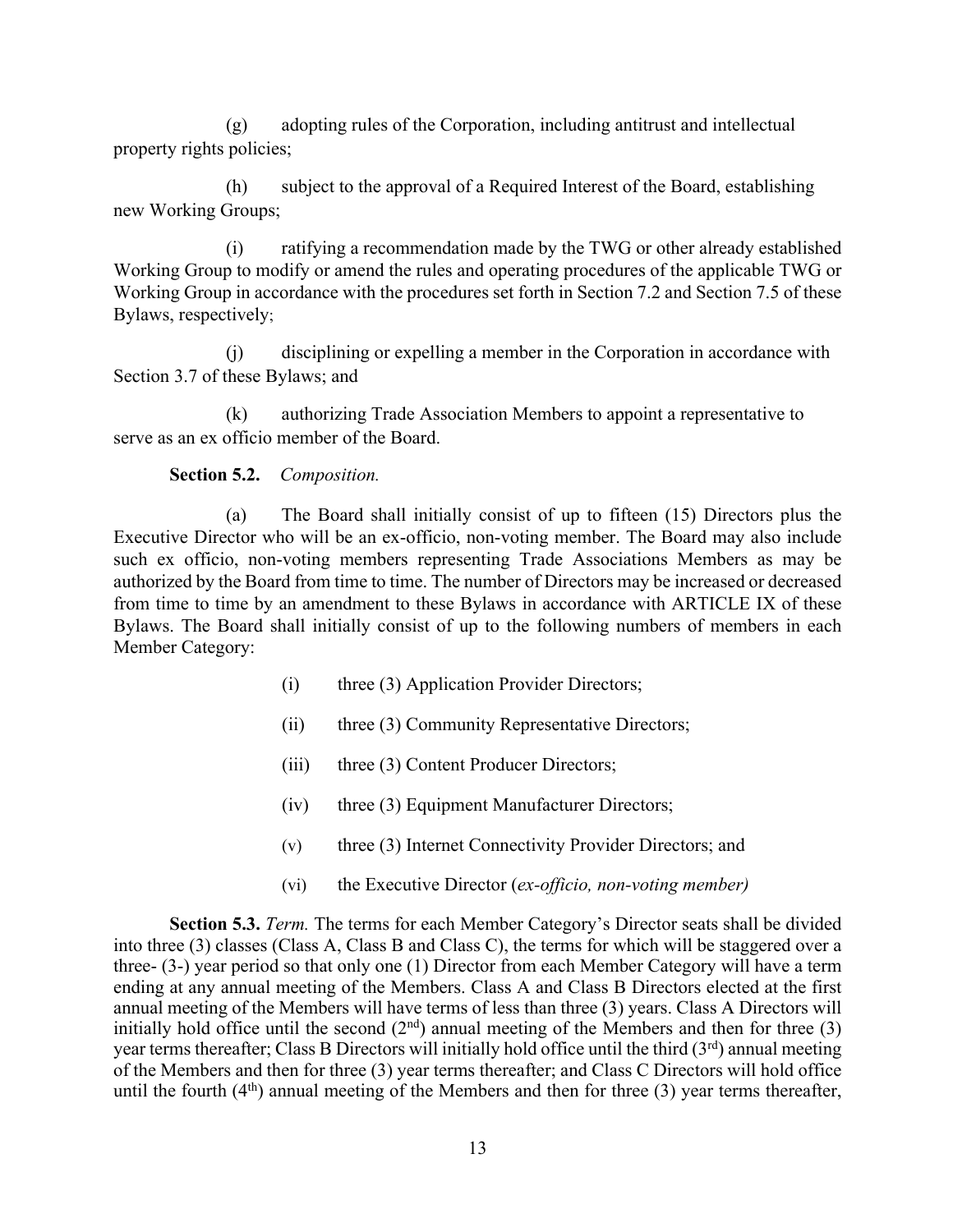(g) adopting rules of the Corporation, including antitrust and intellectual property rights policies;

(h) subject to the approval of a Required Interest of the Board, establishing new Working Groups;

(i) ratifying a recommendation made by the TWG or other already established Working Group to modify or amend the rules and operating procedures of the applicable TWG or Working Group in accordance with the procedures set forth in Section 7.2 and Section 7.5 of these Bylaws, respectively;

(j) disciplining or expelling a member in the Corporation in accordance with Section 3.7 of these Bylaws; and

(k) authorizing Trade Association Members to appoint a representative to serve as an ex officio member of the Board.

**Section 5.2.** *Composition.*

(a) The Board shall initially consist of up to fifteen (15) Directors plus the Executive Director who will be an ex-officio, non-voting member. The Board may also include such ex officio, non-voting members representing Trade Associations Members as may be authorized by the Board from time to time. The number of Directors may be increased or decreased from time to time by an amendment to these Bylaws in accordance with ARTICLE IX of these Bylaws. The Board shall initially consist of up to the following numbers of members in each Member Category:

- (i) three (3) Application Provider Directors;
- (ii) three (3) Community Representative Directors;
- (iii) three (3) Content Producer Directors;
- (iv) three (3) Equipment Manufacturer Directors;
- (v) three (3) Internet Connectivity Provider Directors; and
- (vi) the Executive Director (*ex-officio, non-voting member)*

**Section 5.3.** *Term.* The terms for each Member Category's Director seats shall be divided into three (3) classes (Class A, Class B and Class C), the terms for which will be staggered over a three- (3-) year period so that only one (1) Director from each Member Category will have a term ending at any annual meeting of the Members. Class A and Class B Directors elected at the first annual meeting of the Members will have terms of less than three (3) years. Class A Directors will initially hold office until the second  $(2<sup>nd</sup>)$  annual meeting of the Members and then for three (3) year terms thereafter; Class B Directors will initially hold office until the third  $(3<sup>rd</sup>)$  annual meeting of the Members and then for three (3) year terms thereafter; and Class C Directors will hold office until the fourth  $(4<sup>th</sup>)$  annual meeting of the Members and then for three (3) year terms thereafter,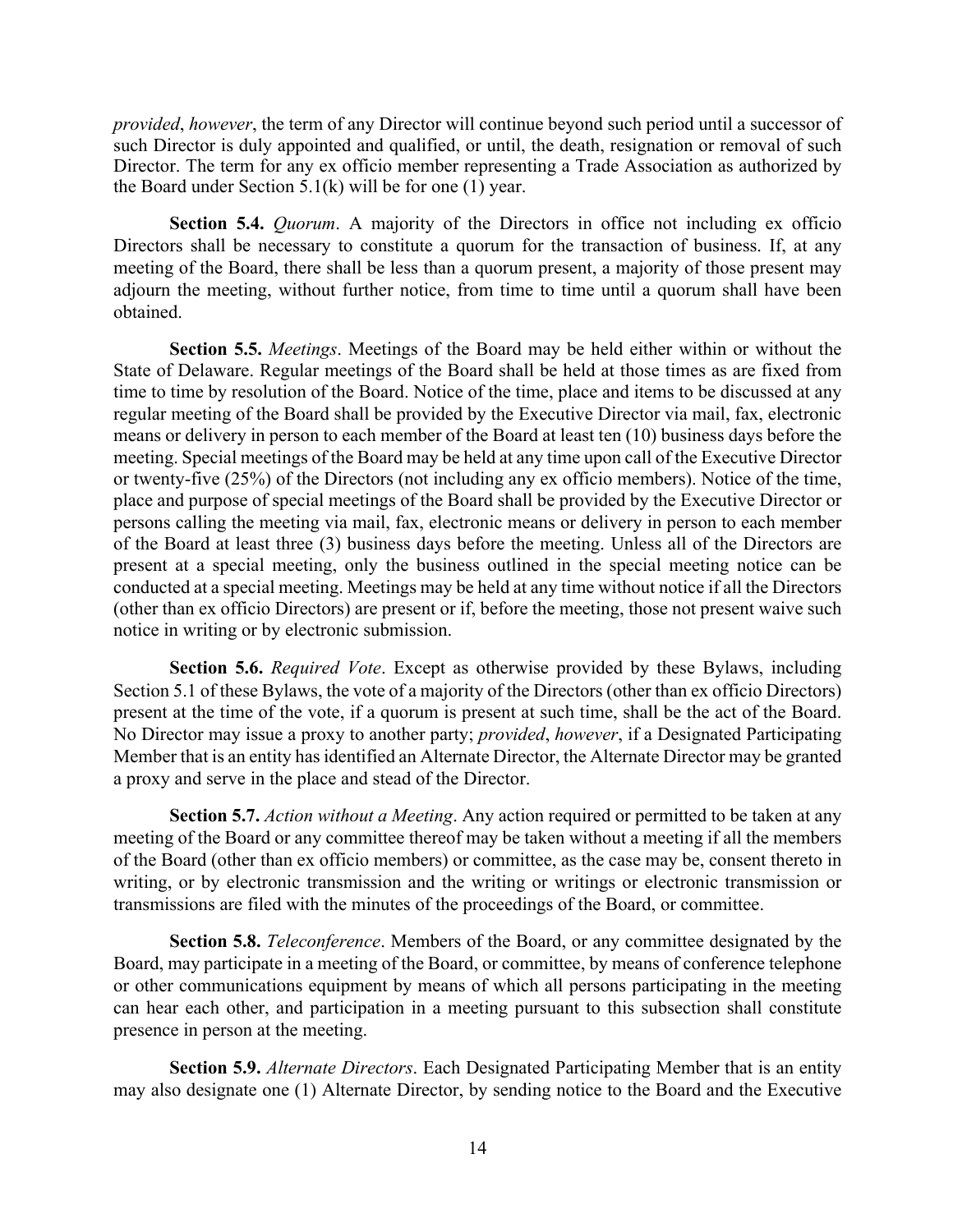*provided*, *however*, the term of any Director will continue beyond such period until a successor of such Director is duly appointed and qualified, or until, the death, resignation or removal of such Director. The term for any ex officio member representing a Trade Association as authorized by the Board under Section  $5.1(k)$  will be for one (1) year.

**Section 5.4.** *Quorum*. A majority of the Directors in office not including ex officio Directors shall be necessary to constitute a quorum for the transaction of business. If, at any meeting of the Board, there shall be less than a quorum present, a majority of those present may adjourn the meeting, without further notice, from time to time until a quorum shall have been obtained.

**Section 5.5.** *Meetings*. Meetings of the Board may be held either within or without the State of Delaware. Regular meetings of the Board shall be held at those times as are fixed from time to time by resolution of the Board. Notice of the time, place and items to be discussed at any regular meeting of the Board shall be provided by the Executive Director via mail, fax, electronic means or delivery in person to each member of the Board at least ten (10) business days before the meeting. Special meetings of the Board may be held at any time upon call of the Executive Director or twenty-five (25%) of the Directors (not including any ex officio members). Notice of the time, place and purpose of special meetings of the Board shall be provided by the Executive Director or persons calling the meeting via mail, fax, electronic means or delivery in person to each member of the Board at least three (3) business days before the meeting. Unless all of the Directors are present at a special meeting, only the business outlined in the special meeting notice can be conducted at a special meeting. Meetings may be held at any time without notice if all the Directors (other than ex officio Directors) are present or if, before the meeting, those not present waive such notice in writing or by electronic submission.

**Section 5.6.** *Required Vote*. Except as otherwise provided by these Bylaws, including Section 5.1 of these Bylaws, the vote of a majority of the Directors (other than ex officio Directors) present at the time of the vote, if a quorum is present at such time, shall be the act of the Board. No Director may issue a proxy to another party; *provided*, *however*, if a Designated Participating Member that is an entity has identified an Alternate Director, the Alternate Director may be granted a proxy and serve in the place and stead of the Director.

**Section 5.7.** *Action without a Meeting*. Any action required or permitted to be taken at any meeting of the Board or any committee thereof may be taken without a meeting if all the members of the Board (other than ex officio members) or committee, as the case may be, consent thereto in writing, or by electronic transmission and the writing or writings or electronic transmission or transmissions are filed with the minutes of the proceedings of the Board, or committee.

**Section 5.8.** *Teleconference*. Members of the Board, or any committee designated by the Board, may participate in a meeting of the Board, or committee, by means of conference telephone or other communications equipment by means of which all persons participating in the meeting can hear each other, and participation in a meeting pursuant to this subsection shall constitute presence in person at the meeting.

**Section 5.9.** *Alternate Directors*. Each Designated Participating Member that is an entity may also designate one (1) Alternate Director, by sending notice to the Board and the Executive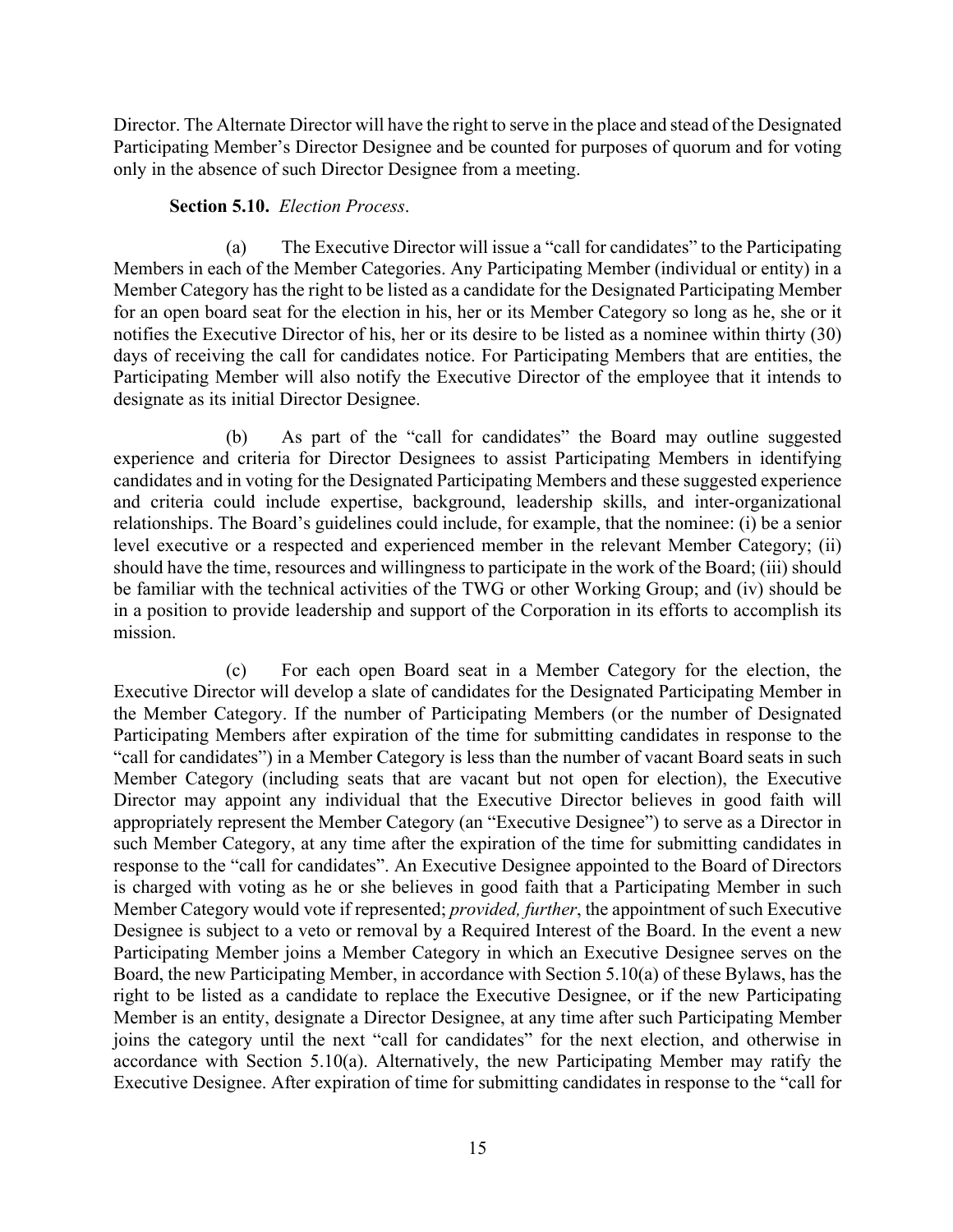Director. The Alternate Director will have the right to serve in the place and stead of the Designated Participating Member's Director Designee and be counted for purposes of quorum and for voting only in the absence of such Director Designee from a meeting.

#### **Section 5.10.** *Election Process*.

(a) The Executive Director will issue a "call for candidates" to the Participating Members in each of the Member Categories. Any Participating Member (individual or entity) in a Member Category has the right to be listed as a candidate for the Designated Participating Member for an open board seat for the election in his, her or its Member Category so long as he, she or it notifies the Executive Director of his, her or its desire to be listed as a nominee within thirty (30) days of receiving the call for candidates notice. For Participating Members that are entities, the Participating Member will also notify the Executive Director of the employee that it intends to designate as its initial Director Designee.

(b) As part of the "call for candidates" the Board may outline suggested experience and criteria for Director Designees to assist Participating Members in identifying candidates and in voting for the Designated Participating Members and these suggested experience and criteria could include expertise, background, leadership skills, and inter-organizational relationships. The Board's guidelines could include, for example, that the nominee: (i) be a senior level executive or a respected and experienced member in the relevant Member Category; (ii) should have the time, resources and willingness to participate in the work of the Board; (iii) should be familiar with the technical activities of the TWG or other Working Group; and (iv) should be in a position to provide leadership and support of the Corporation in its efforts to accomplish its mission.

(c) For each open Board seat in a Member Category for the election, the Executive Director will develop a slate of candidates for the Designated Participating Member in the Member Category. If the number of Participating Members (or the number of Designated Participating Members after expiration of the time for submitting candidates in response to the "call for candidates") in a Member Category is less than the number of vacant Board seats in such Member Category (including seats that are vacant but not open for election), the Executive Director may appoint any individual that the Executive Director believes in good faith will appropriately represent the Member Category (an "Executive Designee") to serve as a Director in such Member Category, at any time after the expiration of the time for submitting candidates in response to the "call for candidates". An Executive Designee appointed to the Board of Directors is charged with voting as he or she believes in good faith that a Participating Member in such Member Category would vote if represented; *provided, further*, the appointment of such Executive Designee is subject to a veto or removal by a Required Interest of the Board. In the event a new Participating Member joins a Member Category in which an Executive Designee serves on the Board, the new Participating Member, in accordance with Section 5.10(a) of these Bylaws, has the right to be listed as a candidate to replace the Executive Designee, or if the new Participating Member is an entity, designate a Director Designee, at any time after such Participating Member joins the category until the next "call for candidates" for the next election, and otherwise in accordance with Section 5.10(a). Alternatively, the new Participating Member may ratify the Executive Designee. After expiration of time for submitting candidates in response to the "call for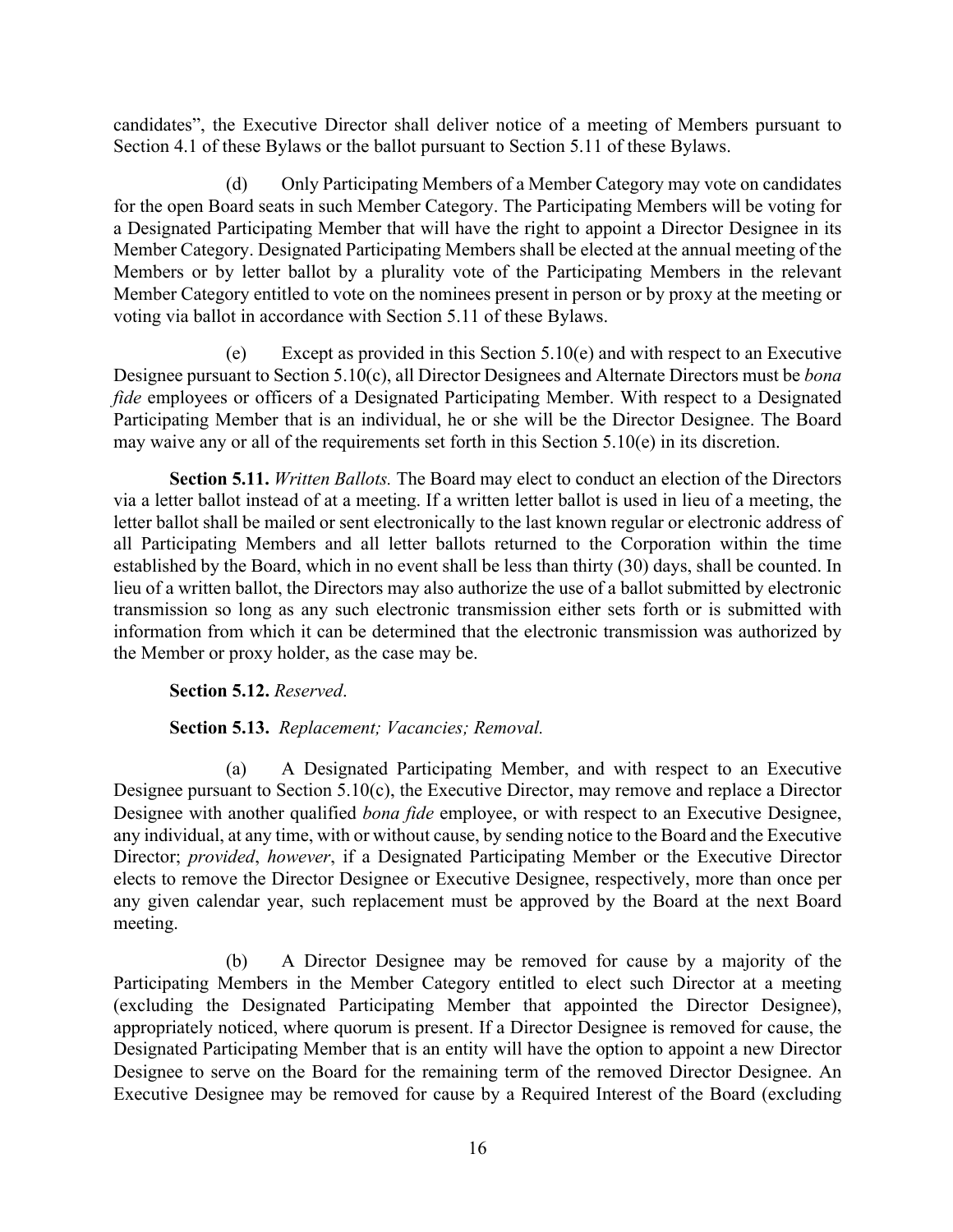candidates", the Executive Director shall deliver notice of a meeting of Members pursuant to Section 4.1 of these Bylaws or the ballot pursuant to Section 5.11 of these Bylaws.

(d) Only Participating Members of a Member Category may vote on candidates for the open Board seats in such Member Category. The Participating Members will be voting for a Designated Participating Member that will have the right to appoint a Director Designee in its Member Category. Designated Participating Members shall be elected at the annual meeting of the Members or by letter ballot by a plurality vote of the Participating Members in the relevant Member Category entitled to vote on the nominees present in person or by proxy at the meeting or voting via ballot in accordance with Section 5.11 of these Bylaws.

(e) Except as provided in this Section 5.10(e) and with respect to an Executive Designee pursuant to Section 5.10(c), all Director Designees and Alternate Directors must be *bona fide* employees or officers of a Designated Participating Member. With respect to a Designated Participating Member that is an individual, he or she will be the Director Designee. The Board may waive any or all of the requirements set forth in this Section 5.10(e) in its discretion.

**Section 5.11.** *Written Ballots.* The Board may elect to conduct an election of the Directors via a letter ballot instead of at a meeting. If a written letter ballot is used in lieu of a meeting, the letter ballot shall be mailed or sent electronically to the last known regular or electronic address of all Participating Members and all letter ballots returned to the Corporation within the time established by the Board, which in no event shall be less than thirty (30) days, shall be counted. In lieu of a written ballot, the Directors may also authorize the use of a ballot submitted by electronic transmission so long as any such electronic transmission either sets forth or is submitted with information from which it can be determined that the electronic transmission was authorized by the Member or proxy holder, as the case may be.

**Section 5.12.** *Reserved*.

#### **Section 5.13.** *Replacement; Vacancies; Removal.*

(a) A Designated Participating Member, and with respect to an Executive Designee pursuant to Section 5.10(c), the Executive Director, may remove and replace a Director Designee with another qualified *bona fide* employee, or with respect to an Executive Designee, any individual, at any time, with or without cause, by sending notice to the Board and the Executive Director; *provided*, *however*, if a Designated Participating Member or the Executive Director elects to remove the Director Designee or Executive Designee, respectively, more than once per any given calendar year, such replacement must be approved by the Board at the next Board meeting.

(b) A Director Designee may be removed for cause by a majority of the Participating Members in the Member Category entitled to elect such Director at a meeting (excluding the Designated Participating Member that appointed the Director Designee), appropriately noticed, where quorum is present. If a Director Designee is removed for cause, the Designated Participating Member that is an entity will have the option to appoint a new Director Designee to serve on the Board for the remaining term of the removed Director Designee. An Executive Designee may be removed for cause by a Required Interest of the Board (excluding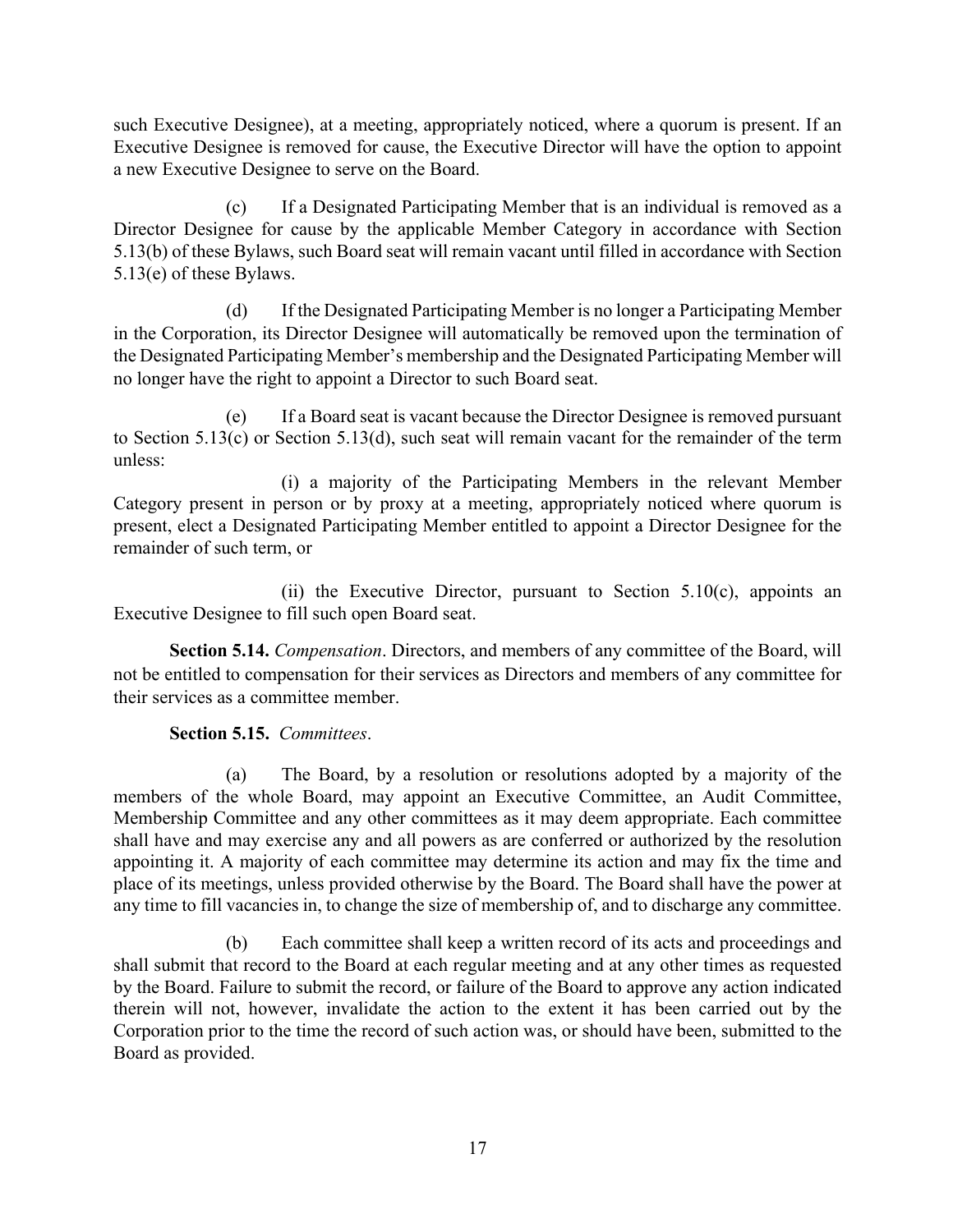such Executive Designee), at a meeting, appropriately noticed, where a quorum is present. If an Executive Designee is removed for cause, the Executive Director will have the option to appoint a new Executive Designee to serve on the Board.

(c) If a Designated Participating Member that is an individual is removed as a Director Designee for cause by the applicable Member Category in accordance with Section 5.13(b) of these Bylaws, such Board seat will remain vacant until filled in accordance with Section 5.13(e) of these Bylaws.

(d) If the Designated Participating Member is no longer a Participating Member in the Corporation, its Director Designee will automatically be removed upon the termination of the Designated Participating Member's membership and the Designated Participating Member will no longer have the right to appoint a Director to such Board seat.

(e) If a Board seat is vacant because the Director Designee is removed pursuant to Section 5.13(c) or Section 5.13(d), such seat will remain vacant for the remainder of the term unless:

(i) a majority of the Participating Members in the relevant Member Category present in person or by proxy at a meeting, appropriately noticed where quorum is present, elect a Designated Participating Member entitled to appoint a Director Designee for the remainder of such term, or

(ii) the Executive Director, pursuant to Section 5.10(c), appoints an Executive Designee to fill such open Board seat.

**Section 5.14.** *Compensation*. Directors, and members of any committee of the Board, will not be entitled to compensation for their services as Directors and members of any committee for their services as a committee member.

## **Section 5.15.** *Committees*.

(a) The Board, by a resolution or resolutions adopted by a majority of the members of the whole Board, may appoint an Executive Committee, an Audit Committee, Membership Committee and any other committees as it may deem appropriate. Each committee shall have and may exercise any and all powers as are conferred or authorized by the resolution appointing it. A majority of each committee may determine its action and may fix the time and place of its meetings, unless provided otherwise by the Board. The Board shall have the power at any time to fill vacancies in, to change the size of membership of, and to discharge any committee.

(b) Each committee shall keep a written record of its acts and proceedings and shall submit that record to the Board at each regular meeting and at any other times as requested by the Board. Failure to submit the record, or failure of the Board to approve any action indicated therein will not, however, invalidate the action to the extent it has been carried out by the Corporation prior to the time the record of such action was, or should have been, submitted to the Board as provided.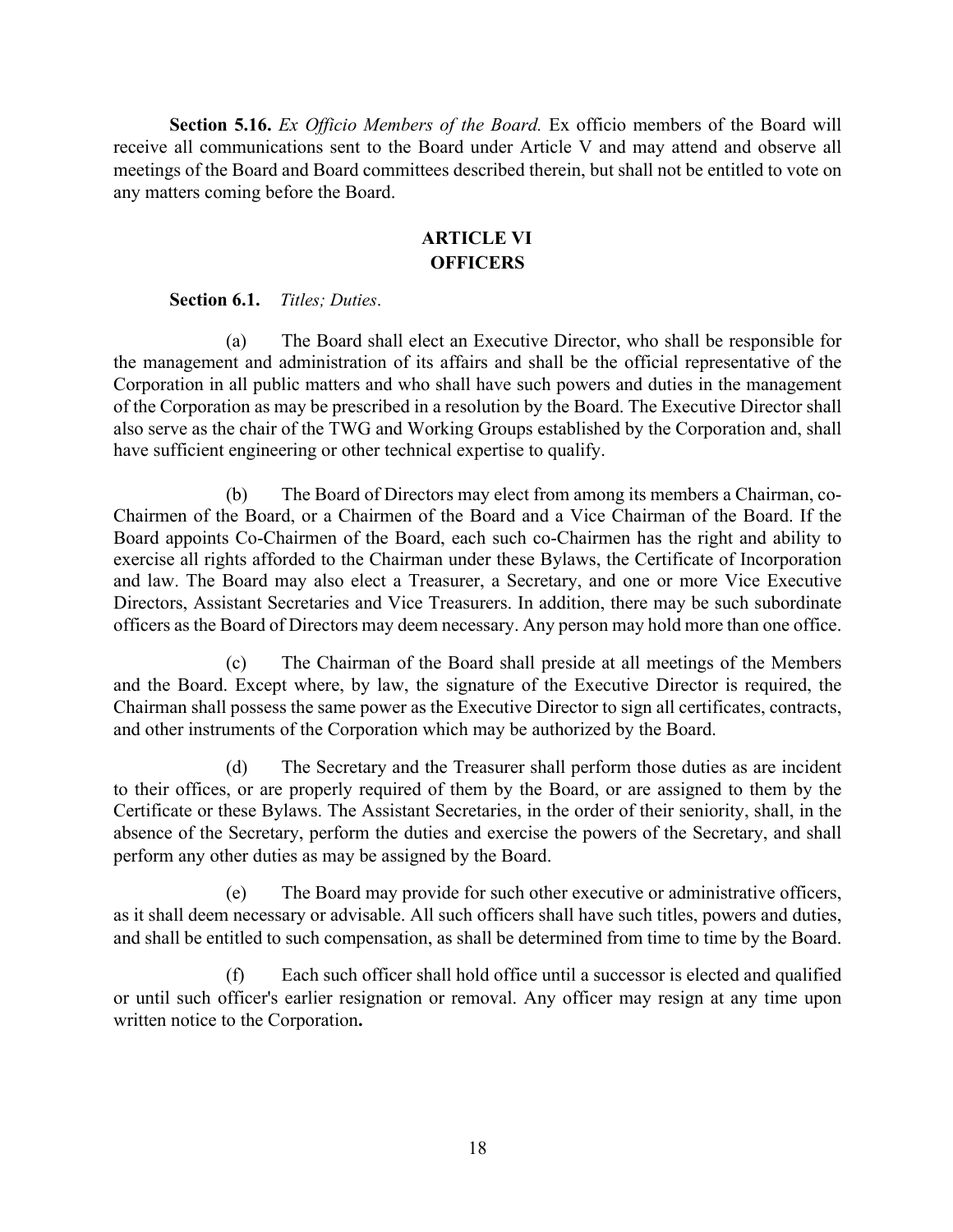**Section 5.16.** *Ex Officio Members of the Board.* Ex officio members of the Board will receive all communications sent to the Board under Article V and may attend and observe all meetings of the Board and Board committees described therein, but shall not be entitled to vote on any matters coming before the Board.

### **ARTICLE VI OFFICERS**

#### **Section 6.1.** *Titles; Duties*.

(a) The Board shall elect an Executive Director, who shall be responsible for the management and administration of its affairs and shall be the official representative of the Corporation in all public matters and who shall have such powers and duties in the management of the Corporation as may be prescribed in a resolution by the Board. The Executive Director shall also serve as the chair of the TWG and Working Groups established by the Corporation and, shall have sufficient engineering or other technical expertise to qualify.

(b) The Board of Directors may elect from among its members a Chairman, co-Chairmen of the Board, or a Chairmen of the Board and a Vice Chairman of the Board. If the Board appoints Co-Chairmen of the Board, each such co-Chairmen has the right and ability to exercise all rights afforded to the Chairman under these Bylaws, the Certificate of Incorporation and law. The Board may also elect a Treasurer, a Secretary, and one or more Vice Executive Directors, Assistant Secretaries and Vice Treasurers. In addition, there may be such subordinate officers as the Board of Directors may deem necessary. Any person may hold more than one office.

(c) The Chairman of the Board shall preside at all meetings of the Members and the Board. Except where, by law, the signature of the Executive Director is required, the Chairman shall possess the same power as the Executive Director to sign all certificates, contracts, and other instruments of the Corporation which may be authorized by the Board.

(d) The Secretary and the Treasurer shall perform those duties as are incident to their offices, or are properly required of them by the Board, or are assigned to them by the Certificate or these Bylaws. The Assistant Secretaries, in the order of their seniority, shall, in the absence of the Secretary, perform the duties and exercise the powers of the Secretary, and shall perform any other duties as may be assigned by the Board.

(e) The Board may provide for such other executive or administrative officers, as it shall deem necessary or advisable. All such officers shall have such titles, powers and duties, and shall be entitled to such compensation, as shall be determined from time to time by the Board.

(f) Each such officer shall hold office until a successor is elected and qualified or until such officer's earlier resignation or removal. Any officer may resign at any time upon written notice to the Corporation**.**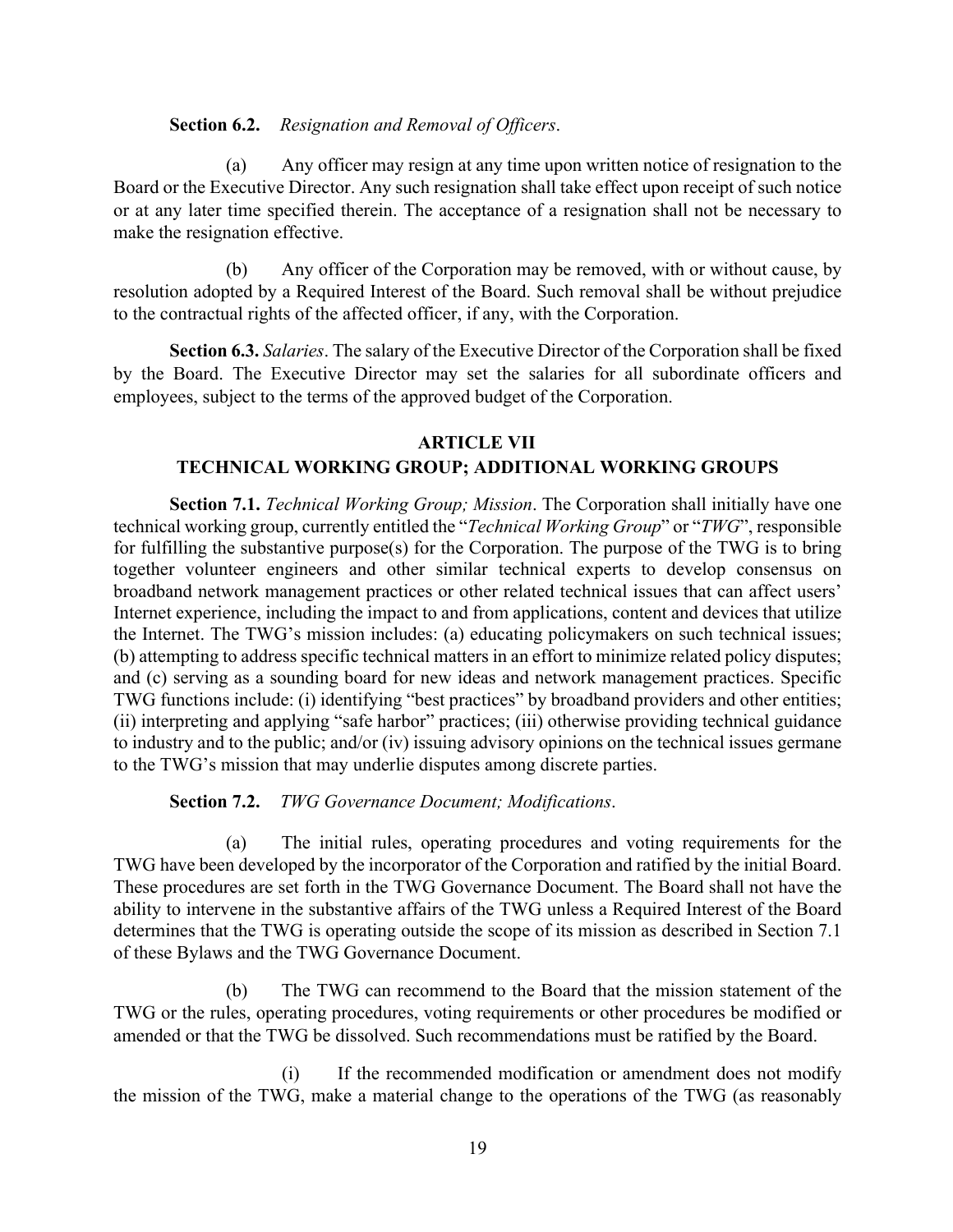#### **Section 6.2.** *Resignation and Removal of Officers*.

(a) Any officer may resign at any time upon written notice of resignation to the Board or the Executive Director. Any such resignation shall take effect upon receipt of such notice or at any later time specified therein. The acceptance of a resignation shall not be necessary to make the resignation effective.

(b) Any officer of the Corporation may be removed, with or without cause, by resolution adopted by a Required Interest of the Board. Such removal shall be without prejudice to the contractual rights of the affected officer, if any, with the Corporation.

**Section 6.3.** *Salaries*. The salary of the Executive Director of the Corporation shall be fixed by the Board. The Executive Director may set the salaries for all subordinate officers and employees, subject to the terms of the approved budget of the Corporation.

## **ARTICLE VII TECHNICAL WORKING GROUP; ADDITIONAL WORKING GROUPS**

**Section 7.1.** *Technical Working Group; Mission*. The Corporation shall initially have one technical working group, currently entitled the "*Technical Working Group*" or "*TWG*", responsible for fulfilling the substantive purpose(s) for the Corporation. The purpose of the TWG is to bring together volunteer engineers and other similar technical experts to develop consensus on broadband network management practices or other related technical issues that can affect users' Internet experience, including the impact to and from applications, content and devices that utilize the Internet. The TWG's mission includes: (a) educating policymakers on such technical issues; (b) attempting to address specific technical matters in an effort to minimize related policy disputes; and (c) serving as a sounding board for new ideas and network management practices. Specific TWG functions include: (i) identifying "best practices" by broadband providers and other entities; (ii) interpreting and applying "safe harbor" practices; (iii) otherwise providing technical guidance to industry and to the public; and/or (iv) issuing advisory opinions on the technical issues germane to the TWG's mission that may underlie disputes among discrete parties.

**Section 7.2.** *TWG Governance Document; Modifications*.

(a) The initial rules, operating procedures and voting requirements for the TWG have been developed by the incorporator of the Corporation and ratified by the initial Board. These procedures are set forth in the TWG Governance Document. The Board shall not have the ability to intervene in the substantive affairs of the TWG unless a Required Interest of the Board determines that the TWG is operating outside the scope of its mission as described in Section 7.1 of these Bylaws and the TWG Governance Document.

(b) The TWG can recommend to the Board that the mission statement of the TWG or the rules, operating procedures, voting requirements or other procedures be modified or amended or that the TWG be dissolved. Such recommendations must be ratified by the Board.

(i) If the recommended modification or amendment does not modify the mission of the TWG, make a material change to the operations of the TWG (as reasonably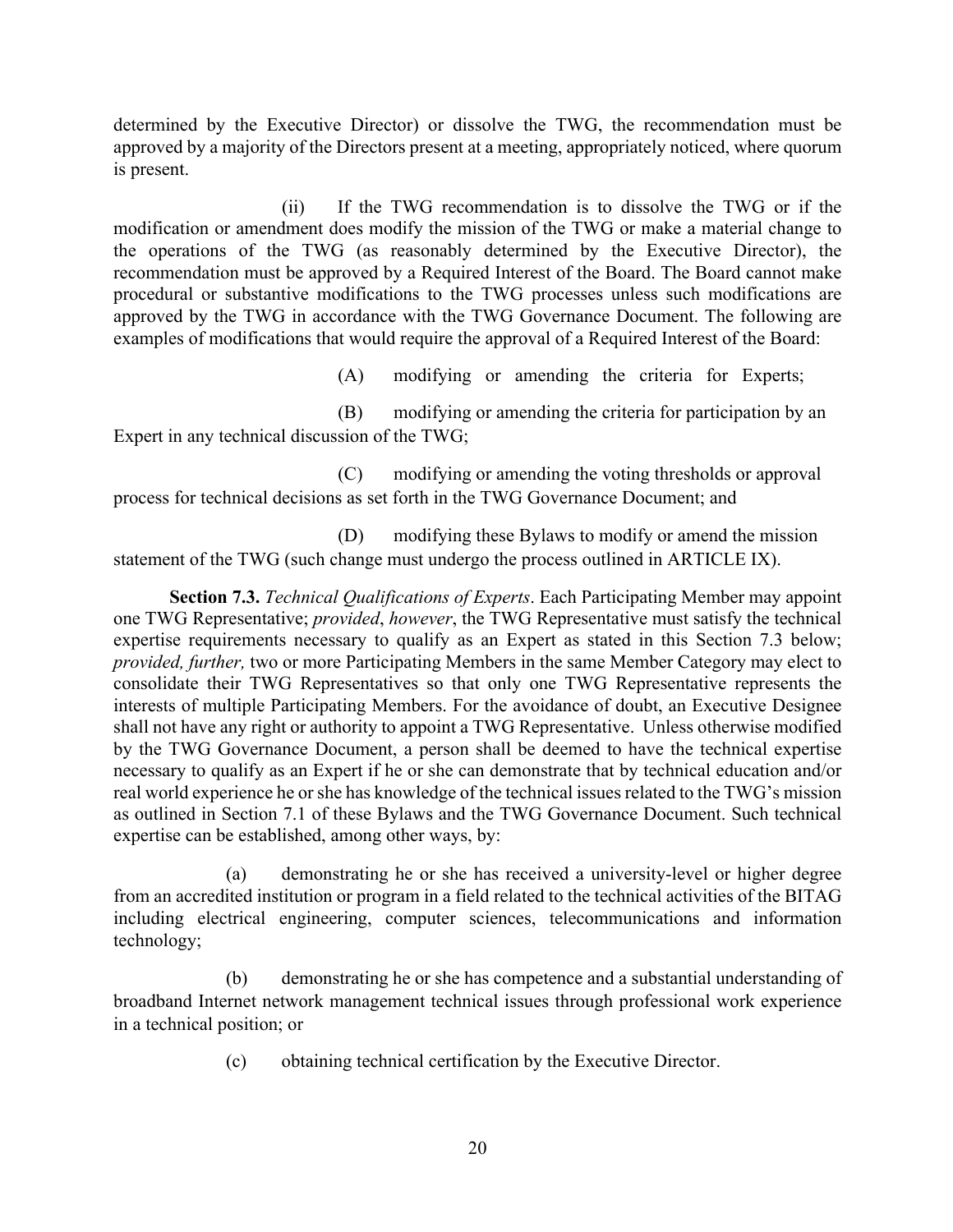determined by the Executive Director) or dissolve the TWG, the recommendation must be approved by a majority of the Directors present at a meeting, appropriately noticed, where quorum is present.

(ii) If the TWG recommendation is to dissolve the TWG or if the modification or amendment does modify the mission of the TWG or make a material change to the operations of the TWG (as reasonably determined by the Executive Director), the recommendation must be approved by a Required Interest of the Board. The Board cannot make procedural or substantive modifications to the TWG processes unless such modifications are approved by the TWG in accordance with the TWG Governance Document. The following are examples of modifications that would require the approval of a Required Interest of the Board:

(A) modifying or amending the criteria for Experts;

(B) modifying or amending the criteria for participation by an Expert in any technical discussion of the TWG;

(C) modifying or amending the voting thresholds or approval process for technical decisions as set forth in the TWG Governance Document; and

(D) modifying these Bylaws to modify or amend the mission statement of the TWG (such change must undergo the process outlined in ARTICLE IX).

**Section 7.3.** *Technical Qualifications of Experts*. Each Participating Member may appoint one TWG Representative; *provided*, *however*, the TWG Representative must satisfy the technical expertise requirements necessary to qualify as an Expert as stated in this Section 7.3 below; *provided, further,* two or more Participating Members in the same Member Category may elect to consolidate their TWG Representatives so that only one TWG Representative represents the interests of multiple Participating Members. For the avoidance of doubt, an Executive Designee shall not have any right or authority to appoint a TWG Representative. Unless otherwise modified by the TWG Governance Document, a person shall be deemed to have the technical expertise necessary to qualify as an Expert if he or she can demonstrate that by technical education and/or real world experience he or she has knowledge of the technical issues related to the TWG's mission as outlined in Section 7.1 of these Bylaws and the TWG Governance Document. Such technical expertise can be established, among other ways, by:

(a) demonstrating he or she has received a university-level or higher degree from an accredited institution or program in a field related to the technical activities of the BITAG including electrical engineering, computer sciences, telecommunications and information technology;

(b) demonstrating he or she has competence and a substantial understanding of broadband Internet network management technical issues through professional work experience in a technical position; or

(c) obtaining technical certification by the Executive Director.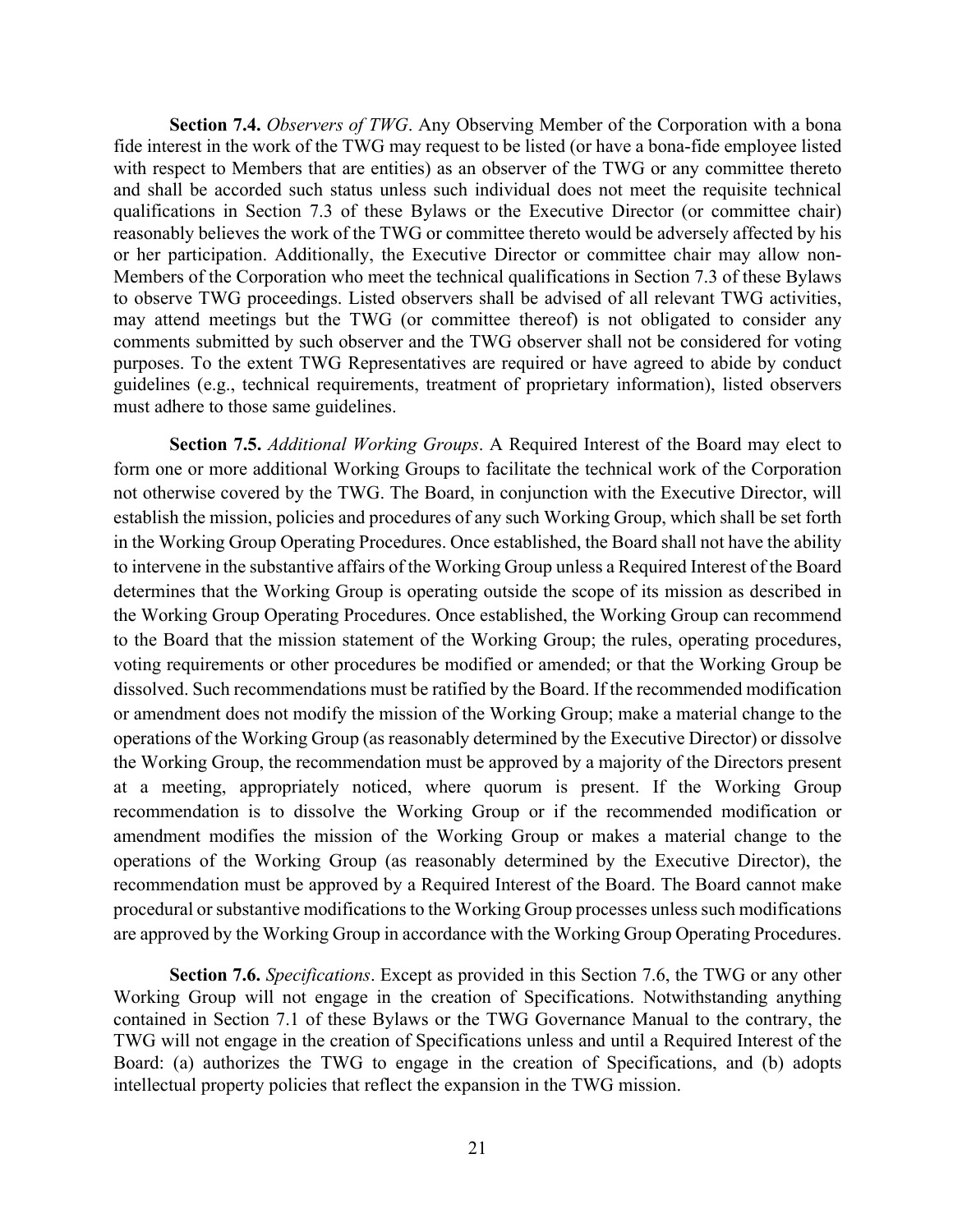**Section 7.4.** *Observers of TWG*. Any Observing Member of the Corporation with a bona fide interest in the work of the TWG may request to be listed (or have a bona-fide employee listed with respect to Members that are entities) as an observer of the TWG or any committee thereto and shall be accorded such status unless such individual does not meet the requisite technical qualifications in Section 7.3 of these Bylaws or the Executive Director (or committee chair) reasonably believes the work of the TWG or committee thereto would be adversely affected by his or her participation. Additionally, the Executive Director or committee chair may allow non-Members of the Corporation who meet the technical qualifications in Section 7.3 of these Bylaws to observe TWG proceedings. Listed observers shall be advised of all relevant TWG activities, may attend meetings but the TWG (or committee thereof) is not obligated to consider any comments submitted by such observer and the TWG observer shall not be considered for voting purposes. To the extent TWG Representatives are required or have agreed to abide by conduct guidelines (e.g., technical requirements, treatment of proprietary information), listed observers must adhere to those same guidelines.

**Section 7.5.** *Additional Working Groups*. A Required Interest of the Board may elect to form one or more additional Working Groups to facilitate the technical work of the Corporation not otherwise covered by the TWG. The Board, in conjunction with the Executive Director, will establish the mission, policies and procedures of any such Working Group, which shall be set forth in the Working Group Operating Procedures. Once established, the Board shall not have the ability to intervene in the substantive affairs of the Working Group unless a Required Interest of the Board determines that the Working Group is operating outside the scope of its mission as described in the Working Group Operating Procedures. Once established, the Working Group can recommend to the Board that the mission statement of the Working Group; the rules, operating procedures, voting requirements or other procedures be modified or amended; or that the Working Group be dissolved. Such recommendations must be ratified by the Board. If the recommended modification or amendment does not modify the mission of the Working Group; make a material change to the operations of the Working Group (as reasonably determined by the Executive Director) or dissolve the Working Group, the recommendation must be approved by a majority of the Directors present at a meeting, appropriately noticed, where quorum is present. If the Working Group recommendation is to dissolve the Working Group or if the recommended modification or amendment modifies the mission of the Working Group or makes a material change to the operations of the Working Group (as reasonably determined by the Executive Director), the recommendation must be approved by a Required Interest of the Board. The Board cannot make procedural or substantive modifications to the Working Group processes unless such modifications are approved by the Working Group in accordance with the Working Group Operating Procedures.

**Section 7.6.** *Specifications*. Except as provided in this Section 7.6, the TWG or any other Working Group will not engage in the creation of Specifications. Notwithstanding anything contained in Section 7.1 of these Bylaws or the TWG Governance Manual to the contrary, the TWG will not engage in the creation of Specifications unless and until a Required Interest of the Board: (a) authorizes the TWG to engage in the creation of Specifications, and (b) adopts intellectual property policies that reflect the expansion in the TWG mission.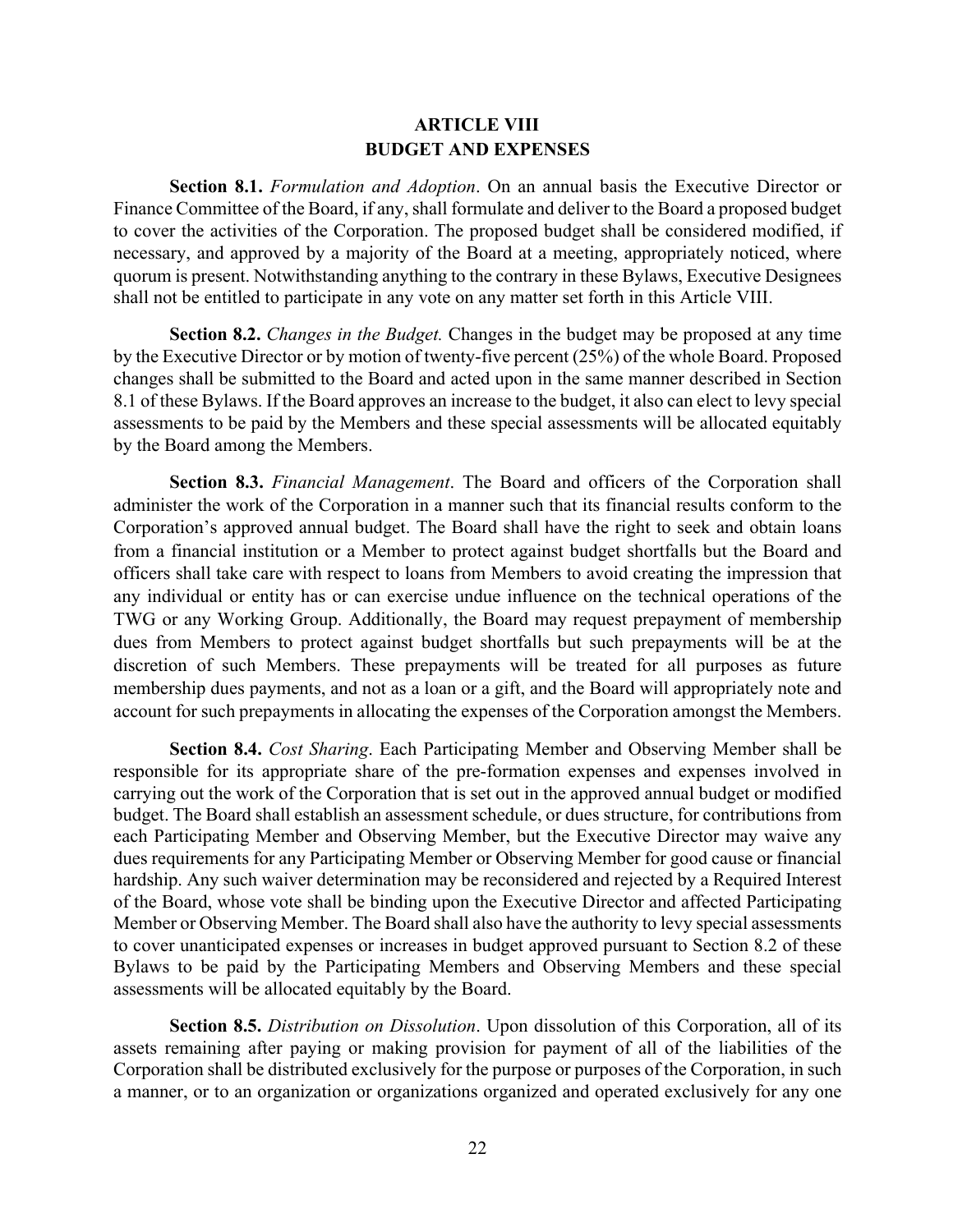## **ARTICLE VIII BUDGET AND EXPENSES**

**Section 8.1.** *Formulation and Adoption*. On an annual basis the Executive Director or Finance Committee of the Board, if any, shall formulate and deliver to the Board a proposed budget to cover the activities of the Corporation. The proposed budget shall be considered modified, if necessary, and approved by a majority of the Board at a meeting, appropriately noticed, where quorum is present. Notwithstanding anything to the contrary in these Bylaws, Executive Designees shall not be entitled to participate in any vote on any matter set forth in this Article VIII.

**Section 8.2.** *Changes in the Budget.* Changes in the budget may be proposed at any time by the Executive Director or by motion of twenty-five percent (25%) of the whole Board. Proposed changes shall be submitted to the Board and acted upon in the same manner described in Section 8.1 of these Bylaws. If the Board approves an increase to the budget, it also can elect to levy special assessments to be paid by the Members and these special assessments will be allocated equitably by the Board among the Members.

**Section 8.3.** *Financial Management*. The Board and officers of the Corporation shall administer the work of the Corporation in a manner such that its financial results conform to the Corporation's approved annual budget. The Board shall have the right to seek and obtain loans from a financial institution or a Member to protect against budget shortfalls but the Board and officers shall take care with respect to loans from Members to avoid creating the impression that any individual or entity has or can exercise undue influence on the technical operations of the TWG or any Working Group. Additionally, the Board may request prepayment of membership dues from Members to protect against budget shortfalls but such prepayments will be at the discretion of such Members. These prepayments will be treated for all purposes as future membership dues payments, and not as a loan or a gift, and the Board will appropriately note and account for such prepayments in allocating the expenses of the Corporation amongst the Members.

**Section 8.4.** *Cost Sharing*. Each Participating Member and Observing Member shall be responsible for its appropriate share of the pre-formation expenses and expenses involved in carrying out the work of the Corporation that is set out in the approved annual budget or modified budget. The Board shall establish an assessment schedule, or dues structure, for contributions from each Participating Member and Observing Member, but the Executive Director may waive any dues requirements for any Participating Member or Observing Member for good cause or financial hardship. Any such waiver determination may be reconsidered and rejected by a Required Interest of the Board, whose vote shall be binding upon the Executive Director and affected Participating Member or Observing Member. The Board shall also have the authority to levy special assessments to cover unanticipated expenses or increases in budget approved pursuant to Section 8.2 of these Bylaws to be paid by the Participating Members and Observing Members and these special assessments will be allocated equitably by the Board.

**Section 8.5.** *Distribution on Dissolution*. Upon dissolution of this Corporation, all of its assets remaining after paying or making provision for payment of all of the liabilities of the Corporation shall be distributed exclusively for the purpose or purposes of the Corporation, in such a manner, or to an organization or organizations organized and operated exclusively for any one